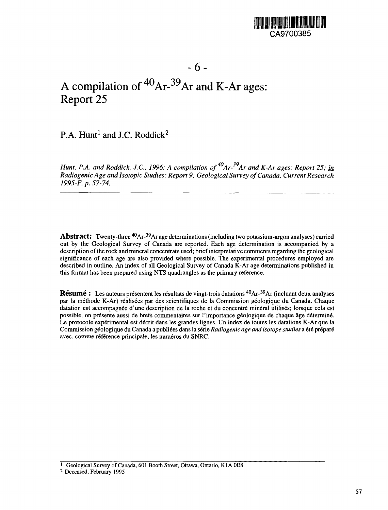

# A compilation of  ${}^{40}Ar$ - ${}^{39}Ar$  and K-Ar ages: Report 25

P.A.  $Hunt<sup>1</sup>$  and J.C. Roddick<sup>2</sup>

*Hunt, P.A. and Roddick, J.C., 1996: A compilation of<sup>40</sup>Ar-<sup>39</sup>Ar and K-Ar ages: Report 25; in. Radiogenic Age and Isotopic Studies: Report 9; Geological Survey of Canada, Current Research 1995-F, p. 57-74.*

**Abstract:** Twenty-three 4OAr-<sup>39</sup>Ar age determinations (including two potassium-argon analyses) carried out by the Geological Survey of Canada are reported. Each age determination is accompanied by a description of the rock and mineral concentrate used; brief interpretative comments regarding the geological significance of each age are also provided where possible. The experimental procedures employed are described in outline. An index of all Geological Survey of Canada K-Ar age determinations published in this format has been prepared using NTS quadrangles as the primary reference.

**Résumé :** Les auteurs présentent les résultats de vingt-trois datations <sup>40</sup>Ar-<sup>39</sup>Ar (incluant deux analyses par la methode K-Ar) realisees par des scientifiques de la Commission geologique du Canada. Chaque datation est accompagnée d'une description de la roche et du concentré minéral utilisés; lorsque cela est possible, on présente aussi de brefs commentaires sur l'importance géologique de chaque âge déterminé. Le protocole experimental est decrit dans les grandes lignes. Un index de toutes les datations K-Ar que la Commission geologique du Canada a publiees dans la serie *Radiogenic age and isotope studies* a ete prepare avec, comme référence principale, les numéros du SNRC.

<sup>1</sup> Geological Survey of Canada, 601 Booth Street, Ottawa, Ontario, K1A 0E8

2 Deceased, February 1995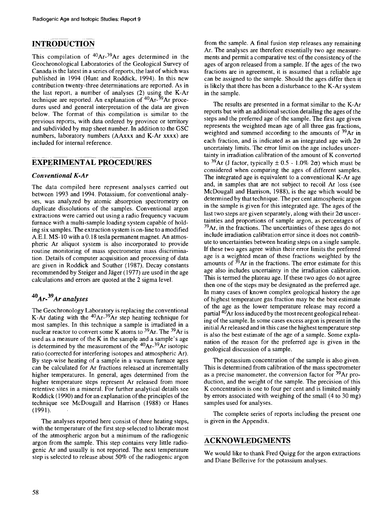# INTRODUCTION

This compilation of <sup>40</sup>Ar-<sup>39</sup>Ar ages determined in the Geochronological Laboratories of the Geological Survey of Canada is the latest in a series of reports, the last of which was published in 1994 (Hunt and Roddick, 1994). In this new contribution twenty-three determinations are reported. As in the last report, a number of analyses (2) using the K-Ar technique are reported. An explanation of  ${}^{40}Ar$ - ${}^{39}Ar$  procedures used and general interpretation of the data are given below. The format of this compilation is similar to the previous reports, with data ordered by province or territory and subdivided by map sheet number. In addition to the GSC numbers, laboratory numbers (AAxxx and K-Ar xxxx) are included for internal reference.

## EXPERIMENTAL PROCEDURES

#### *Conventional K-Ar*

The data compiled here represent analyses carried out between 1993 and 1994. Potassium, for conventional analyses, was analyzed by atomic absorption spectrometry on duplicate dissolutions of the samples. Conventional argon extractions were carried out using a radio frequency vacuum furnace with a multi-sample loading system capable of holding six samples. The extraction system is on-line to a modified A.E.I. MS-10 with a 0.18 tesla permanent magnet. An atmospheric Ar aliquot system is also incorporated to provide routine monitoring of mass spectrometer mass discrimination. Details of computer acquisition and processing of data are given in Roddick and Souther (1987). Decay constants recommended by Steiger and Jäger (1977) are used in the age calculations and errors are quoted at the 2 sigma level.

## *Ar- Ar analyses*

The Geochronology Laboratory is replacing the conventional K-Ar dating with the  $40Ar^{-39}Ar$  step heating technique for most samples. In this technique a sample is irradiated in a nuclear reactor to convert some K atoms to <sup>39</sup>Ar. The <sup>39</sup>Ar is used as a measure of the  $K$  in the sample and a sample's age is determined by the measurement of the  $40Ar-39Ar$  isotopic ratio (corrected for interfering isotopes and atmospheric Ar). By step-wise heating of a sample in a vacuum furnace ages can be calculated for Ar fractions released at incrementally higher temperatures. In general, ages determined from the higher temperature steps represent Ar released from more retentive sites in a mineral. For further analytical details see Roddick (1990) and for an explanation of the principles of the technique see McDougall and Harrison (1988) or Hanes (1991).

The analyses reported here consist of three heating steps, with the temperature of the first step selected to liberate most of the atmospheric argon but a minimum of the radiogenic argon from the sample. This step contains very little radiogenic Ar and usually is not reported. The next temperature step is selected to release about 50% of the radiogenic argon

from the sample. A final fusion step releases any remaining Ar. The analyses are therefore essentially two age measurements and permit a comparative test of the consistency of the ages of argon released from a sample. If the ages of the two fractions are in agreement, it is assumed that a reliable age can be assigned to the sample. Should the ages differ then it is likely that there has been a disturbance to the K-Ar system in the sample.

The results are presented in a format similar to the K-Ar reports but with an additional section detailing the ages of the steps and the preferred age of the sample. The first age given represents the weighted mean age of all three gas fractions, weighted and summed according to the amounts of <sup>39</sup>Ar in each fraction, and is indicated as an integrated age with *2a* uncertainty limits. The error limit on the age includes uncertainty in irradiation calibration of the amount of K converted to <sup>39</sup>Ar (J factor, typically  $\pm$  0.5 - 1.0% 2 $\sigma$ ) which must be considered when comparing the ages of different samples. The integrated age is equivalent to a conventional K-Ar age and, in samples that are not subject to recoil Ar loss (see McDougall and Harrison, 1988), is the age which would be determined by that technique. The per cent atmospheric argon in the sample is given for this integrated age. The ages of the last two steps are given separately, along with their  $2\sigma$  uncertainties and proportions of sample argon, as percentages of  $39$ Ar, in the fractions. The uncertainties of these ages do not include irradiation calibration error since it does not contribute to uncertainties between heating steps on a single sample. If these two ages agree within their error limits the preferred age is a weighted mean of these fractions weighted by the age is a weighted mean of these reactions weighted by the amounts of  $39\text{Ar}$  in the fractions. The error estimate for this age also includes uncertainty in the irradiation calibration. This is termed the plateau age. If these two ages do not agree then one of the steps may be designated as the preferred age. In many cases of known complex geological history the age of highest temperature gas fraction may be the best estimate of the age as the lower temperature release may record a partial <sup>40</sup>Ar loss induced by the most recent geological reheating of the sample. In some cases excess argon is present in the initial Ar released and in this case the highest temperature step is also the best estimate of the age of a sample. Some explanation of the reason for the preferred age is given in the geological discussion of a sample.

The potassium concentration of the sample is also given. This is determined from calibration of the mass spectrometer as a precise manometer, the conversion factor for <sup>39</sup>Ar production, and the weight of the sample. The precision of this K concentration is one to four per cent and is limited mainly by errors associated with weighing of the small (4 to 30 mg) samples used for analyses.

The complete series of reports including the present one is given in the Appendix.

## ACKNOWLEDGMENTS

We would like to thank Fred Quigg for the argon extractions and Diane Bellerive for the potassium analyses.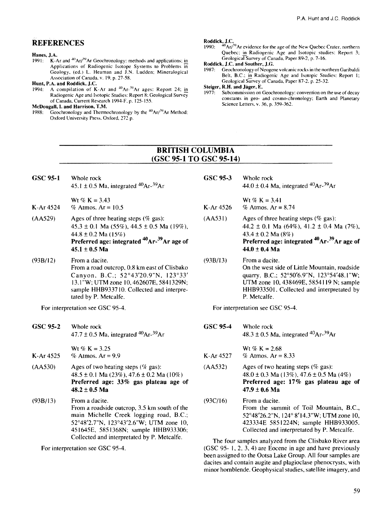#### REFERENCES

# **Hanes, J.A.**<br>1991: K-A

1991: K-Ar and <sup>40</sup>Ar/<sup>39</sup>Ar Geochronology: methods and applications; in Applications of Radiogenic Isotope Systems to Problems in Geology, (ed.) L. Heaman and J.N. Ludden; Mineralogical Association of Canada, v. 19. p. 27-58.

# **Hunt, P.A. and Roddick, J.C.**<br>1994: A compilation of K

1994: A compilation of K-Ar and  $40Ar^{-39}Ar$  ages: Report 24; in Radiogenic Age and Isotopic Studies: Report 8; Geological Survey of Canada. Current Research 1994-F. p. 125-155.

#### **McDougall, I. and Harrison, T.M.**

1988: Geochronology and Thermochronology by the  $^{40}$ Ar/ $^{39}$ Ar Method; Oxford University Press. Oxford. 272 p.

#### **Roddick, J.C.**

1990:  $\frac{40}{1}$ Ar/<sup>39</sup> Ar evidence for the age of the New Quebec Crater, northern Quebec; in Radiogenic Age and Isotopic studies: Report 3; Geological Survey of Canada. Paper 89-2, p. 7-16.

# **Roddick, J.C. and Souther, J.G.**

Geochronology of Neogene volcanic rocks in the northern Garibaldi Belt, B.C.; in Radiogenic Age and Isotopic Studies: Report 1; Geological Survey of Canada, Paper 87-2. p. 25-32.

**Steiger, R.H. and Jäger, E.**<br>1977: Subcommission on

Subcommission on Geochronology: convention on the use of decay constants in geo- and cosmo-chronology; Earth and Planetary Science Letters, v. 36, p. 359-362.

#### BRITISH COLUMBIA (GSC 95-1 TO GSC 95-14)

**GSC 95-1** Whole rock  $45.1 \pm 0.5$  Ma, integrated  $^{40}Ar^{-39}Ar$ 

K-Ar 4524 Wt % K =  $3.43$ % Atmos.  $Ar = 10.5$ 

- (AA529) Ages of three heating steps  $(\%$  gas):  $45.3 \pm 0.1$  Ma (55%),  $44.5 \pm 0.5$  Ma (19%), 44.8 ±0.2 Ma **(15%) Preferred age: integrated**  $^{40}$ **Ar-**  $^{39}$ Ar age of **45.1** ± **0.5 Ma**
- (93B/12) Fromadacite. From a road outcrop, 0.8 km east of Clisbako Canyon, B.C.; 52°43'20.9"N, 123°33' 13.1"W;UTMzonel0,462607E,5841329N; sample HHB933710. Collected and interpretated by P. Metcalfe.

For interpretation see GSC 95-4.

**GSC 95-2** Whole rock  $47.7 \pm 0.5$  Ma, integrated  $40$ Ar- $39$ Ar

K-Ar 4525 Wt %  $K = 3.25$ % Atmos.  $Ar = 9.9$ 

- (AA53O) Ages of two heating steps  $(\%$  gas):  $48.5 \pm 0.1$  Ma (23%),  $47.6 \pm 0.2$  Ma (10%) **Preferred age: 33% gas plateau age of 48.2** ± **0.5 Ma**
- (93B/13) Fromadacite. From a roadside outcrop, 3.5 km south of the main Michelle Creek logging road, B.C.; 52°48'2.7"N, 123°43'2.6"W; UTM zone 10, 451645E, 5851368N; sample HHB933306; Collected and interpretated by P. Metcalfe.

For interpretation see GSC 95-4.

**GSC 95-3** Whole rock  $44.0 \pm 0.4$  Ma, integrated  $^{40}Ar^{-39}Ar$ Wt  $\% K = 3.41$ K-Ar  $4526$  % Atmos. Ar = 8.74  $(AA531)$  Ages of three heating steps (% gas): 44.2  $\pm$  0.1 Ma (64%), 41.2  $\pm$  0.4 Ma (7%),  $43.4 \pm 0.2$  Ma  $(8\%)$ Preferred age: integrated <sup>40</sup>Ar-<sup>39</sup>Ar age of **44.0** ± **0.4 Ma** (93B/13) Fromadacite. On the west side of Little Mountain, roadside quarry, B.C.; 52°50'6.9"N, 123°54'48.1"W; UTM zone 10, 438469E, 5854119 N; sample HHB933501. Collected and interpretated by P. Metcalfe.

For interpretation see GSC 95-4.

**GSC 95-4** Whole rock  $48.3 \pm 0.5$  Ma, integrated  $^{40}Ar^{-39}Ar$ 

Wt % K =  $2.68$ K-Ar  $4527$  % Atmos. Ar = 8.33

- $(AA532)$  Ages of two heating steps (% gas):  $48.0 \pm 0.3$  Ma (13%),  $47.6 \pm 0.5$  Ma (4%) **Preferred age: 17% gas plateau age of 47.9** ± **0.6 Ma**
- $(93C/16)$  From a dacite. From the summit of Toil Mountain, B.C., 52°48'26.2"N, 124° 8'14.3"W; UTM zone 10, 423334E 5851224N; sample HHB933005. Collected and interpretated by P. Metcalfe.

The four samples analyzed from the Clisbako River area (GSC 95- 1, 2, 3, 4) are Eocene in age and have previously been assigned to the Ootsa Lake Group. All four samples are dacites and contain augite and plagioclase phenocrysts, with minor hornblende. Geophysical studies, satellite imagery, and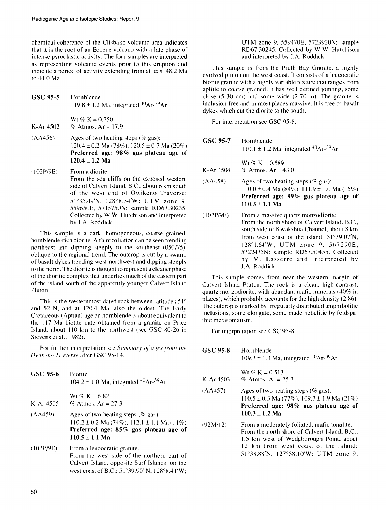chemical coherence of the Clisbako volcanic area indicates that it is the root of an Eocene volcano with a late phase of intense pyroclastic activity. The four samples are interpreted as representing volcanic events prior to this eruption and indicate a period of activity extending from at least 48.2 Ma to 44.0 Ma.

**GSC 95-5** Hornblende  $119.8 \pm 1.2$  Ma, integrated  $^{40}Ar - ^{39}Ar$ Wt *%* K = 0.750 K-Ar 4502 % Atmos. Ar = 17.9 (AA456) (102P/9E) Ages of two heating steps  $(\%$  gas): 120.4 ± 0.2 Ma (78%), 120.5 **±** 0.7 Ma (20%) **Preferred** age: **98%** gas **plateau age of 120.4 ± 1.2 Ma** From a diorite. From the sea cliffs on the exposed western side of Calvert Island. B.C.. about 6 km south of the west end of Owikeno Traverse;

51°35.49'N. 128°8.34'W; UTM zone 9. 559650E, 5715750N: sample RD67.30235. Collected by W.W. Hutchison and interpreted bv J.A. Roddick.

This sample is a dark, homogeneous, coarse grained, hornblende-rich diorite. A faint foliation can be seen trending northeast and dipping steeply to the southeast (050/75). oblique to the regional trend. The outcrop is cut by a swarm of basalt dykes trending west-northwest and dipping steeply to the north. The diorite is thought to represent a cleaner phase of the dioritic complex that underlies much of the eastern part of the island south of the apparently younger Calvert Island Pluton.

This is the westernmost dated rock between latitudes 51<sup>°</sup> and 52°N, and at 120.4 Ma, also the oldest. The Early Cretaceous (Aptian) age on hornblende is about equivalent to the 117 Ma biotite date obtained from a granite on Price Island, about 110 km to the northwest (see GSC 80-26 in Stevens et al., 1982).

For further interpretation see *Summary of ages from the Owikeno Traverse* after GSC 95-14.

| GSC 95-6    | <b>Biotite</b><br>104.2 ± 1.0 Ma, integrated <sup>40</sup> Ar- <sup>39</sup> Ar                                                                                            |
|-------------|----------------------------------------------------------------------------------------------------------------------------------------------------------------------------|
| $K-Ar$ 4505 | Wt % K = 6.82<br>% Atmos. $Ar = 27.3$                                                                                                                                      |
| (AA459)     | Ages of two heating steps ( $\%$ gas):<br>$110.2 \pm 0.2$ Ma (74%), 112.1 $\pm$ 1.1 Ma (11%)<br>Preferred age: $85\%$ gas plateau age of<br>$110.5 \pm 1.1$ Ma             |
| (102P/9E)   | From a leucocratic granite.<br>From the west side of the northern part of<br>Calvert Island, opposite Surf Islands, on the<br>west coast of B.C.; 51°39.90' N, 128°8.41'W; |

UTM zone 9, 559470E, 5723920N; sample RD67.30245. Collected by W.W. Hutchison and interpreted by J.A. Roddick.

This sample is from the Pruth Bay Granite, a highly evolved pluton on the west coast. It consists of a leucocratic biotite granite with a highly variable texture that ranges from aplitic to coarse grained. It has well defined jointing, some close (5-30 cm) and some wide (2-70 m). The granite is inclusion-free and in most places massive. It is free of basalt dykes which cut the diorite to the south.

For interpretation see GSC 95-8.

| GSC 95-7  | Hornblende<br>110.1 ± 1.2 Ma, integrated <sup>40</sup> Ar- <sup>39</sup> Ar                                                                                                                                                                                                                                                            |
|-----------|----------------------------------------------------------------------------------------------------------------------------------------------------------------------------------------------------------------------------------------------------------------------------------------------------------------------------------------|
| K-Ar 4504 | Wt % K = $0.589$<br>% Atmos. $Ar = 43.0$                                                                                                                                                                                                                                                                                               |
| (AA458)   | Ages of two heating steps $(\%$ gas):<br>$110.0 \pm 0.4$ Ma (84%), $111.9 \pm 1.0$ Ma (15%)<br>Preferred age: 99% gas plateau age of<br>$110.3 \pm 1.1$ Ma                                                                                                                                                                             |
| (102P/9E) | From a massive quartz monzodiorite.<br>From the north shore of Calvert Island, B.C.,<br>south side of Kwakshua Channel, about 8 km<br>from west coast of the island; $51^{\circ}39.07^{\prime}$ N,<br>128°1.64'W; UTM zone 9, 567290E,<br>5722475N; sample RD67.50455. Collected<br>by M. Lasserre and interpreted by<br>J.A. Roddick. |

This sample comes from near the western margin of Calvert Island Pluton. The rock is a clean, high-contrast, quartz monzodiorite, with abundant mafic minerals (40% in places), which probably accounts for the high density (2.86). The outcrop is marked by irregularly distributed amphibolitic inclusions, some elongate, some made nebulitic by feldspathic metasomatism.

For interpretation see GSC 95-8.

**GSC 95-8** Hornblende 109.3  $\pm$  1.3 Ma, integrated <sup>40</sup>Ar-<sup>39</sup>Ar

Wt %  $K = 0.513$ K-Ar  $4503$  % Atmos. Ar = 25.7

- (AA457) Ages of two heating steps (% gas): 110.5 ±0.3 Ma (77%). 109.7 **±** 1.9 Ma (21%) **Preferred age: 98%** gas **plateau age of 110.3 ±1.2 Ma**
- (92M/12) From a moderately foliated, mafic tonalite. From the north shore of Calvert Island, B.C.. 1.5 km west of Wedgborough Point, about 12 km from west coast of the island: 51°38.88'N, 127°58.1O'W; UTM zone 9.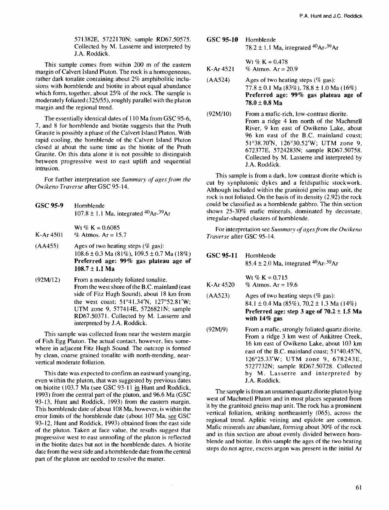571382E, 5722170N; sample RD67.50575. Collected by M. Lasserre and interpreted by J.A. Roddick.

This sample comes from within 200 m of the eastern margin of Calvert Island Pluton. The rock is a homogeneous, rather dark tonalite containing about 2% amphibolitic inclusions with hornblende and biotite in about equal abundance which form, together, about 25% of the rock. The sample is moderately foliated (325/55), roughly parallel with the pluton margin and the regional trend.

The essentially identical dates of 110 Ma from GSC 95-6, 7, and 8 for hornblende and biotite suggests that the Pruth Granite is possibly a phase of the Calvert Island Pluton. With rapid cooling, the hornblende of the Calvert Island Pluton closed at about the same time as the biotite of the Pruth Granite. On this data alone it is not possible to distinguish between progressive west to east uplift and sequential intrusion.

For further interpretation see *Summary of ages from the Owikeno Traverse* after GSC 95-14.

- GSC **95-9** Hornblende 107.8  $\pm$  1.1 Ma, integrated <sup>40</sup>Ar-<sup>39</sup>Ar Wt %  $K = 0.6085$ K-Ar  $4501 \%$  Atmos. Ar = 15.7
- (AA455) Ages of two heating steps (% gas):  $108.6 \pm 0.3$  Ma (81%),  $109.5 \pm 0.7$  Ma (18%) **Preferred age: 99%** gas **plateau age of 108.7** ± **1.1 Ma**
- (92M/12) From a moderately foliated tonalite. From the west shore of the B.C. mainland (east side of Fitz Hugh Sound), about 18 km from the west coast; 51°41.34'N, 127°52.81'W; UTM zone 9, 577414E, 572682IN; sample RD67.50371. Collected by M. Lasserre and interpreted by J.A. Roddick.

This sample was collected from near the western margin of Fish Egg Pluton. The actual contact, however, lies somewhere in adjacent Fitz Hugh Sound. The outcrop is formed by clean, coarse grained tonalite with north-trending, nearvertical moderate foliation.

This date was expected to confirm an eastward younging, even within the pluton, that was suggested by previous dates on biotite (103.7 Ma (see GSC 93-11 in Hunt and Roddick, 1993) from the central part of the pluton, and 96.6 Ma (GSC 93-13, Hunt and Roddick, 1993) from the eastern margin. This hornblende date of about 108 Ma, however, is within the error limits of the hornblende date (about 107 Ma, see GSC 93-12, Hunt and Roddick, 1993) obtained from the east side of the pluton. Taken at face value, the results suggest that progressive west to east unroofing of the pluton is reflected in the biotite dates but not in the hornblende dates. A biotite date from the west side and a hornblende date from the central part of the pluton are needed to resolve the matter.

GSC **95-10** Hornblende 78.2  $\pm$  1.1 Ma, integrated <sup>40</sup>Ar-<sup>39</sup>Ar

Wt % K =  $0.478$ K-Ar 4521 % Atmos.  $Ar = 20.9$ 

- $(AA524)$  Ages of two heating steps (% gas):  $77.8 \pm 0.1$  Ma (83%),  $78.8 \pm 1.0$  Ma (16%) **Preferred age: 99%** gas **plateau age of**  $78.0 \pm 0.8$  Ma
- (92M/10) From a mafic-rich, low-contrast diorite. From a ridge 4 km north of the Machmell River, 9 km east of Owikeno Lake, about 96 km east of the B.C. mainland coast; 51°38.70'N, 126°30.52'W; UTM zone 9, 672377E, 5724283N; sample RD67.50758. Collected by M. Lasserre and interpreted by J.A. Roddick.

This sample is from a dark, low contrast diorite which is cut by synplutonic dykes and a feldspathic stockwork. Although included within the granitoid gneiss map unit, the rock is not foliated. On the basis of its density (2.92) the rock could be classified as a hornblende gabbro. The thin section shows 25-30% mafic minerals, dominated by decussate, irregular-shaped clusters of hornblende.

For interpretation see *Summary of ages from the Owikeno Traverse* after GSC 95-14.

| GSC 95-11 Hornblende | 85.4 ± 2.0 Ma, integrated <sup>40</sup> Ar- <sup>39</sup> Ar |  |  |
|----------------------|--------------------------------------------------------------|--|--|
| K-Ar 4520            | Wt % K = $0.715$<br>% Atmos. $Ar = 19.6$                     |  |  |

- $(AA523)$  Ages of two heating steps (% gas): 84.1 ± 0.4 Ma (85%), 70.2 ± 1.3 Ma (14%) **Preferred age: step 3 age of 70.2 ±1.5 Ma with 14%** gas
- (92M/9) From a mafic, strongly foliated quartz diorite. From a ridge 3 km west of Ankitree Creek, 16 km east of Owikeno Lake, about 103 km east of the B.C. mainland coast; 51°40.45'N, 126°25.33'W; UTM zone 9, 678243E, 5727732N; sample RD67.50728. Collected by M. Lasserre and interpreted by J.A. Roddick.

The sample is from an unnamed quartz diorite pluton lying west of Machmell Pluton and in most places separated from it by the granitoid gneiss map unit. The rock has a prominent vertical foliation, striking northeasterly (065), across the regional trend. Aplitic veining and epidote are common. Mafic minerals are abundant, forming about 30% of the rock and in thin section are about evenly divided between hornblende and biotite. In this sample the ages of the two heating steps do not agree, excess argon was present in the initial Ar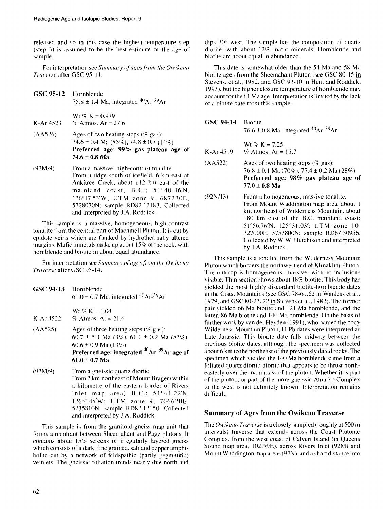released and so in this case the highest temperature step (step 3) is assumed to be the best estimate of the age of sample.

For interpretation see Summary of ages from the Owikeno Traverse after GSC 95-14.

- GSC 95-12 Hornblende  $75.8 \pm 1.4$  Ma, integrated  $^{40}$ Ar- $^{39}$ Ar
- K-Ar 4523 Wt *%* K = 0.979 % Atmos.  $Ar = 27.6$
- (AA526) Ages of two heating steps  $(\%$  gas): 74.6 ± 0.4 Ma (85%), 74.8 ± 0.7 (14%) **Preferred** age: **99%** gas **plateau** age **of 74.6** ± **0.8 Ma**
- (92M/9) From a massive, high-contrast tonalite. From a ridge south of icefield, 6 km east of Ankitree Creek, about 112 km east of the mainland coast,  $B.C.: 51°40.46'N,$ 126°17.53'W: UTM zone 9, 687230E, 5728070N; sample RD82.12183. Collected and interpreted by J.A. Roddick.

This sample is a massive, homogeneous, high-contrast tonalite from the central part of Machmell Pluton. It is cut by epidote veins which are flanked by hydrothermally altered margins. Mafic minerals make up about 15% of the rock, with hornblende and biotite in about equal abundance.

For interpretation see Summary of ages from the Owikeno Traverse after GSC 95-14.

| GSC 94-13 Hornblende | 61.0 ± 0.7 Ma, integrated <sup>40</sup> Ar- <sup>39</sup> Ar                                                                                                                                                |
|----------------------|-------------------------------------------------------------------------------------------------------------------------------------------------------------------------------------------------------------|
| $K-Ar 4522$          | $Wt \nsubseteq K = 1.04$<br>% Atmos. $Ar = 21.6$                                                                                                                                                            |
| (AA525)              | Ages of three heating steps ( $\%$ gas):<br>60.7 ± 5.4 Ma (3%), 61.1 ± 0.2 Ma (83%),<br>$60.6 \pm 0.9$ Ma (13%)<br>Preferred age: integrated <sup>40</sup> Ar- <sup>39</sup> Ar age of<br>$61.0 \pm 0.7$ Ma |
| (92M/9)              | From a gneissic quartz diorite.<br>From 2 km northeast of Mount Brager (within<br>a kilometre of the eastern border of Rivers                                                                               |

a kilometre of the eastern border of Rivers Inlet map area) B.C.: 51°44.22'N, 126°0.45'W; UTM zone 9, 706620E, 573581ON; sample RD82.12150. Collected and interpreted by J.A. Roddick.

This sample is from the granitoid gneiss map unit that forms a reentrant between Sheemahant and Page plutons. It contains about 15% screens of irregularly layered gneiss which consists of a dark, fine grained, salt and pepper amphibolite cut by a network of feldspathic (partly pegmatitic) veinlets. The gneissic foliation trends nearly due north and dips 70° west. The sample has the composition of quartz diorite. with about 12% mafic minerals. Hornblende and biotite are about equal in abundance.

This date is somewhat older than the 54 Ma and 58 Ma biotite ages from the Sheemahant Pluton (see GSC 80-45 jn Stevens, et al., 1982, and GSC 93-10 in Hunt and Roddick, 1993), but the higher closure temperature of hornblende may account for the 61 Ma age. Interpretation is limited by the lack of a biotite date from this sample.

| GSC 94-14   | <b>Biotite</b><br>76.6 $\pm$ 0.8 Ma, integrated <sup>40</sup> Ar- <sup>39</sup> Ar                                                                                        |
|-------------|---------------------------------------------------------------------------------------------------------------------------------------------------------------------------|
| $K-Ar 4519$ | Wt % K = $7.25$<br>% Atmos. $Ar = 15.7$                                                                                                                                   |
| (AA522)     | Ages of two heating steps ( $\%$ gas):<br>$76.8 \pm 0.1$ Ma (70%), 77.4 $\pm$ 0.2 Ma (28%)<br>Preferred age: 98% gas plateau age of<br>$77.0 \pm 0.8$ Ma                  |
| (92N/13)    | From a homogeneous, massive tonalite.<br>From Mount Waddington map area, about 1<br>km northeast of Wilderness Mountain, about<br>180 km east of the B.C. mainland coast: |

180 km east of the B.C. mainland coast; 51°56.76'N, 125°3l.03'; UTM zone 10. 327000E. 57578OON: sample RD67.30956. Collected by W.W. Hutchison and interpreted by J.A. Roddick.

This sample is a tonalite from the Wilderness Mountain Pluton which borders the northwest end of Klinaklini Pluton. The outcrop is homogeneous, massive, with no inclusions visible. Thin section shows about 18% biotite. This body has yielded the most highly discordant biotite-homblende dates in the Coast Mountains (see GSC 78-61,62 *in* Wanless et al., 1979, and GSC 80-23, 22 in Stevens et al.. 1982). The former pair yielded 66 Ma biotite and 121 Ma hornblende, and the latter, 86 Ma biotite and 140 Ma hornblende. On the basis of further work by van der Heyden (1991), who named the body Wilderness Mountain Pluton, U-Pb dates were interpreted as Late Jurassic. This biotite date falls midway between the previous biotite dates, although the specimen was collected about 6 km to the northeast of the previously dated rocks. The specimen which yielded the 140 Ma hornblende came from a foliated quartz diorite-diorite that appears to be thrust northeasterly over the main mass of the pluton. Whether it is part of the pluton. or part of the more gneissic Atnarko Complex to the west is not definitely known. Interpretation remains difficult.

#### **Summary of Ages from the Owikeno Traverse**

The *Owikeno Traverse* is a closely sampled (roughly at 500 m intervals) traverse that extends across the Coast Plutonic Complex, from the west coast of Calvert Island (in Queens Sound map area, 102P/9E). across Rivers Inlet (92M) and Mount Waddington map areas (92N), and a short distance into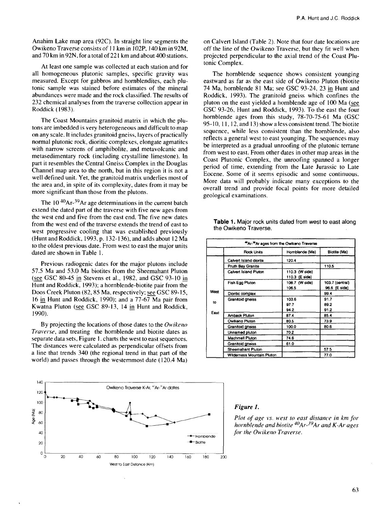Anahim Lake map area (92C). In straight line segments the Owikeno Traverse consists of 11 km in 102P, 140 km in 92M, and 70 km in 92N, for a total of 221 km and about 400 stations.

At least one sample was collected at each station and for all homogeneous plutonic samples, specific gravity was measured. Except for gabbros and hornblendites, each plutonic sample was stained before estimates of the mineral abundances were made and the rock classified. The results of 232 chemical analyses from the traverse collection appear in Roddick (1983).

The Coast Mountains granitoid matrix in which the plutons are imbedded is very heterogeneous and difficult to map on any scale. It includes granitoid gneiss, layers of practically normal plutonic rock, dioritic complexes, elongate agmatites with narrow screens of amphibolite, and metavolcanic and metasedimentary rock (including crystalline limestone). In part it resembles the Central Gneiss Complex in the Douglas Channel map area to the north, but in this region it is not a well defined unit. Yet, the granitoid matrix underlies most of the area and, in spite of its complexity, dates from it may be more significant than those from the plutons.

The  $10^{40}$ Ar-<sup>39</sup>Ar age determinations in the current batch extend the dated part of the traverse with five new ages from the west end and five from the east end. The five new dates from the west end of the traverse extends the trend of east to west progressive cooling that was established previously (Hunt and Roddick, 1993, p. 132-136), and adds about 12 Ma to the oldest previous date. From west to east the major units dated are shown in Table 1.

Previous radiogenic dates for the major plutons include 57.5 Ma and 53.0 Ma biotites from the Sheemahant Pluton (see GSC 80-45 in Stevens et al., 1982, and GSC 93-10 in Hunt and Roddick, 1993); a hornblende-biotite pair from the Doos Creek Pluton (82,85 Ma, respectively; see GSC 89-15, 16 in Hunt and Roddick, 1990); and a 77-67 Ma pair from Kwatna Pluton (see GSC 89-13, 14 in Hunt and Roddick, 1990).

By projecting the locations of those dates to the *Owikeno Traverse,* and treating the hornblende and biotite dates as separate data sets, Figure 1. charts the west to east sequences. The distances were calculated as perpendicular offsets from a line that trends 340 (the regional trend in that part of the world) and passes through the westernmost date (120.4 Ma)



on Calvert Island (Table 2). Note that four date locations are off the line of the Owikeno Traverse, but they fit well when projected perpendicular to the axial trend of the Coast Plutonic Complex.

The hornblende sequence shows consistent younging eastward as far as the east side of Owikeno Pluton (biotite 74 Ma, hornblende 81 Ma; see GSC 93-24, 23 in Hunt and Roddick, 1993). The granitoid gneiss which confines the pluton on the east yielded a hornblende age of 100 Ma (see GSC 93-26, Hunt and Roddick, 1993). To the east the four hornblende ages from this study, 78-70-75-61 Ma (GSC 95-10,11,12, and 13) show a less consistent trend. The biotite sequence, while less consistent than the hornblende, also reflects a general west to east younging. The sequences may be interpreted as a gradual unroofing of the plutonic terrane from west to east. From other dates in other map areas in the Coast Plutonic Complex, the unroofing spanned a longer period of time, extending from the Late Jurassic to Late Eocene. Some of it seems episodic and some continuous. More data will probably indicate many exceptions to the overall trend and provide focal points for more detailed geological examinations.

| <sup>40</sup> Ar- <sup>39</sup> Ar ages from the Owikeno Traverse |                            |                |                 |  |  |
|-------------------------------------------------------------------|----------------------------|----------------|-----------------|--|--|
|                                                                   | Rock Units                 | Homblende (Ma) | Biotite (Ma)    |  |  |
|                                                                   | Calvert Island diorite     | 120.4          |                 |  |  |
|                                                                   | Pruth Bay Granite          |                | 110.5           |  |  |
|                                                                   | Calvert Island Pluton      | 110.3 (W side) |                 |  |  |
|                                                                   |                            | 110.3 (E side) |                 |  |  |
|                                                                   | Fish Egg Pluton            | 108.7 (W side) | 103.7 (central) |  |  |
|                                                                   |                            | 106.5          | 96.6 (E side)   |  |  |
| West                                                              | Dioritic complex           |                | 99.4            |  |  |
| to                                                                | Granitoid gneiss           | 103.6          | 91.7            |  |  |
|                                                                   |                            | 97.7           | 89.2            |  |  |
| East                                                              |                            | 94.2           | 91.2            |  |  |
|                                                                   | Amback Pluton              | 87.4           | 85.4            |  |  |
|                                                                   | Owikeno Pluton             | 80.5           | 73.9            |  |  |
|                                                                   | Granitoid gneiss           | 100.0          | 80.6            |  |  |
|                                                                   | Unnamed pluton             | 70.2           |                 |  |  |
|                                                                   | Machmell Pluton            | 74.6           |                 |  |  |
|                                                                   | <b>Granitoid gneiss</b>    | 61.0           |                 |  |  |
|                                                                   | Sheemahant Pluton          |                | 57.5            |  |  |
|                                                                   | Wilderness Mountain Pluton |                | 77.0            |  |  |

**Table 1.** Major rock units dated from west to east along the Owikeno Traverse.

#### *Figure 1.*

*Plot of age vs. west to east distance in km for hornblende and biotite<sup>40</sup>Ar-J9Ar and K-Ar ages for the Owikeno Traverse.*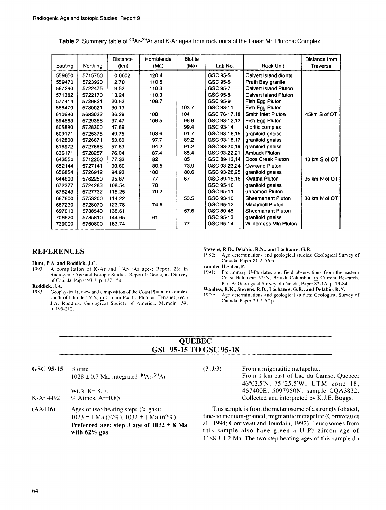| Easting | Northing | <b>Distance</b><br>(km) | Homblende<br>(Ma) | <b>Biotite</b><br>(Ma) | Lab No.      | Rock Unit                   | Distance from<br>Traverse |
|---------|----------|-------------------------|-------------------|------------------------|--------------|-----------------------------|---------------------------|
| 559650  | 5715750  | 0.0002                  | 120.4             |                        | GSC 95-5     | Calvert Island dionte       |                           |
| 559470  | 5723920  | 2.70                    | 110.5             |                        | GSC 95-6     | Pruth Bay granite           |                           |
| 567290  | 5722475  | 9.52                    | 110.3             |                        | GSC 95-7     | Calvert Island Pluton       |                           |
| 571382  | 5722170  | 13.24                   | 110.3             |                        | GSC 95-8     | Calvert Island Pluton       |                           |
| 577414  | 5726821  | 20.52                   | 108.7             |                        | GSC 95-9     | Fish Egg Pluton             |                           |
| 586479  | 5730021  | 30.13                   |                   | 103.7                  | GSC 93-11    | Fish Egg Pluton             |                           |
| 610680  | 5683022  | 36.29                   | 108               | 104                    | GSC 76-17,18 | Smith Inlet Pluton          | 45km S of OT              |
| 594563  | 5729358  | 37.47                   | 106.5             | 96.6                   | GSC 93-12.13 | Fish Egg Pluton             |                           |
| 605880  | 5728300  | 47.69                   |                   | 99.4                   | GSC 93-14    | dioritic complex            |                           |
| 609171  | 5725375  | 49.75                   | 103.6             | 91.7                   | GSC 93-16,15 | granitoid gneiss            |                           |
| 612800  | 5726671  | 53.60                   | 97.7              | 89.2                   | GSC 93-18,17 | granitoid gneiss            |                           |
| 616972  | 5727588  | 57.83                   | 94.2              | 91.2                   | GSC 93-20,19 | granitoid gneiss            |                           |
| 636171  | 5728257  | 76.04                   | 87.4              | 85.4                   | GSC 93-22,21 | <b>Amback Pluton</b>        |                           |
| 643550  | 5712250  | 77.33                   | 82                | 85                     | GSC 89-13.14 | Doos Creek Pluton           | 13 km S of OT             |
| 652144  | 5727141  | 90.60                   | 80.5              | 73.9                   | GSC 93-23,24 | Owikeno Pluton              |                           |
| 656854  | 5726912  | 94.93                   | 100               | 80.6                   | GSC 93-26.25 | granitoid gneiss            |                           |
| 644600  | 5762250  | 95.87                   | 77                | 67                     | GSC 89-15.16 | <b>Kwatna Pluton</b>        | 35 km N of OT             |
| 672377  | 5724283  | 108.54                  | 78                |                        | GSC 95-10    | granitoid gneiss            |                           |
| 678243  | 5727732  | 115.25                  | 70.2              |                        | GSC 95-11    | unnamed Pluton              |                           |
| 667600  | 5753200  | 114.22                  |                   | 53.5                   | GSC 93-10    | Sheemahant Pluton           | 30 km N of OT             |
| 687230  | 5728070  | 123.78                  | 74.6              |                        | GSC 95-12    | <b>Machmell Pluton</b>      |                           |
| 697010  | 5738540  | 136.61                  |                   | 57.5                   | GSC 80-45    | <b>Sheemahant Pluton</b>    |                           |
| 706620  | 5735810  | 144.65                  | 61                |                        | GSC 95-13    | granitoid gneiss            |                           |
| 739000  | 5760800  | 183.74                  |                   | 77                     | GSC 95-14    | <b>Wildemess Mtn Pluton</b> |                           |

Table 2. Summary table of <sup>40</sup>Ar-<sup>39</sup>Ar and K-Ar ages from rock units of the Coast Mt. Plutonic Complex.

### **REFERENCES**

**Hunt, P.A. and Roddick, J.C.**<br>1993: A compilation of K

1993: A compilation of K-Ar and  $^{40}Ar^{-39}Ar$  ages: Report 23; in Radiogenic Age and Isotopic Studies: Report I; Geological Survey of Canada. Paper 93-2. p. 127-154.

#### **Roddick, J.A.**

19S3: Geophysical review and composition of the Coast Plutonic Complex south of latitude 55°N; in Circum-Pacific Plutonic Terranes, (ed.) J.A. Roddick: Geological Society of America. Memoir I59. p. 195-212.

**Stevens, R.D., Delabio, R.N., and Lachance, G.R.** 1982: Age determinations and geological studies.

Age determinations and geological studies: Geological Survey of Canada, Paper 81 -2. 56 p.

**van der Heyden, P.**

1991: Preliminary U-Pb dates and field observations from the eastern Coast Belt near 52°N, British Columbia; in Current Research. Part A; Geological Survey of Canada. Paper 87-1A, p. 79-84.

# **Wanless. R.K., Stevens, R.D., Lachance, G.R., and Delabio, R.N.**

Age determinations and geological studies; Geological Survey of Canada, Paper 79-2. 67 p.

### **OUEBEC** GSC 95-15 TO GSC 95-18

GSC **95-15** Biotite  $1028 \pm 0.7$  Ma, integrated  $^{40}Ar^{-39}Ar$ 

 $Wt$ .% K= 8.10 K-Ar 4492 *%* Atmos. Ar=0.85

(AA446) Ages of two heating steps *(%* gas): 1023 ± 1 Ma *(317c),* 1032 ± 1 Ma (62%) **Preferred age: step 3 age of 1032 ± 8 Ma with 62% gas**

(31J/3) From a migmatitic metapelite. From 1 km east of Lac du Camso, Quebec; 46°02.5'N, 75°25.5'W; UTM zone 18, 467400E. 5097950N; sample CQA3832. Collected and interpreted by K.J.E. Boggs.

This sample is from the melanosome of a strongly foliated, fine- to medium-grained, migmatitic metapelite (Corriveau et al., 1994; Corriveau and Jourdain, 1992). Leucosomes from this sample also have given a U-Pb zircon age of  $1188 \pm 1.2$  Ma. The two step heating ages of this sample do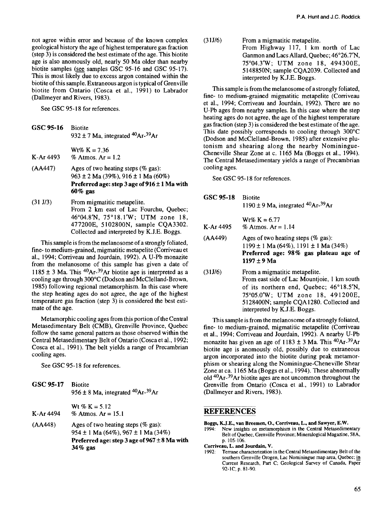not agree within error and because of the known complex geological history the age of highest temperature gas fraction (step 3) is considered the best estimate of the age. This biotite age is also anomously old, nearly 50 Ma older than nearby biotite samples (see samples GSC 95-16 and GSC 95-17). This is most likely due to excess argon contained within the biotite of this sample. Extraneous argon is typical of Grenville biotite from Ontario (Cosca et al., 1991) to Labrador (Dallmeyer and Rivers, 1983).

See GSC 95-18 for references.

- **GSC 95-16** Biotite 932  $\pm$  7 Ma, integrated <sup>40</sup>Ar-<sup>39</sup>Ar
- $Wt\% K = 7.36$ K-Ar 4493 % Atmos.  $Ar = 1.2$
- $(AA447)$  Ages of two heating steps (% gas): 963 ± 2 Ma (39%), 916 ± 1 Ma (60%) **Preferred age: step 3 age of 916 ± 1 Ma with 60% gas**
- (31 J/3) From migmatitic metapelite. From 2 km east of Lac Fourchu, Quebec; 46°04.8'N, 75°18.1'W; UTM zone 18, 477200E, 5102800N, sample CQA3302. Collected and interpreted by K.J.E. Boggs.

This sample is from the melanosome of a strongly foliated, fine- to medium-grained, migmatitic metapelite (Corriveau et al., 1994; Corriveau and Jourdain, 1992). A U-Pb monazite from the melanosome of this sample has given a date of 1185  $\pm$  3 Ma. This <sup>40</sup>Ar-<sup>39</sup>Ar biotite age is interpreted as a cooling age through 300°C (Dodson and McClelland-Brown, 1985) following regional metamorphism. In this case where the step heating ages do not agree, the age of the highest temperature gas fraction (step 3) is considered the best estimate of the age.

Metamorphic cooling ages from this portion of the Central Metasedimentary Belt (CMB), Grenville Province, Quebec follow the same general pattern as those observed within the Central Metasedimentary Belt of Ontario (Cosca et al., 1992; Cosca et al., 1991). The belt yields a range of Precambrian cooling ages.

See GSC 95-18 for references.

**GSC 95-17** Biotite 956 ± 8 Ma, integrated <sup>40</sup>Ar-<sup>39</sup>Ar Wt %  $K = 5.12$ 

K-Ar  $4494$  % Atmos. Ar = 15.1

 $(AA448)$  Ages of two heating steps (% gas): 954 ± 1 Ma (64%), 967 ± **1** Ma (34%) Preferred age: step 3 age of 967 ± 8 Ma with **34% gas**

(31J/6) From a migmatitic metapelite. From Highway 117, 1 km north of Lac Ganmon and Lacs Allard, Quebec; 46°26.7'N, 75°04.3'W; UTM zone 18, 494300E, 5148850N; sample CQA2039. Collected and interpreted by K.J.E. Boggs.

This sample is from the melanosome of a strongly foliated, fine- to medium-grained migmatitic metapelite (Corriveau et al., 1994; Corriveau and Jourdain, 1992). There are no U-Pb ages from nearby samples. In this case where the step heating ages do not agree, the age of the highest temperature gas fraction (step 3) is considered the best estimate of the age. This date possibly corresponds to cooling through 300°C (Dodson and McClelland-Brown, 1985) after extensive plutonism and shearing along the nearby Nominingue-Cheneville Shear Zone at c. 1165 Ma (Boggs et al., 1994). The Central Metasedimentary yields a range of Precambrian cooling ages.

See GSC 95-18 for references.

| GSC 95-18 Biotite |                                           |
|-------------------|-------------------------------------------|
|                   | 1190 ± 9 Ma, integrated $^{40}Ar^{-39}Ar$ |

|           | $Wt\% K = 6.77$      |
|-----------|----------------------|
| K-Ar 4495 | % Atmos. $Ar = 1.14$ |

- $(AA449)$  Ages of two heating steps (% gas):  $1199 \pm 1$  Ma (64%),  $1191 \pm 1$  Ma (34%) **Preferred age: 98% gas plateau age of 1197** ± **9 Ma**
- (31J/6) From a migmatitic metapelite. From east side of Lac Mountjoie, 1 km south of its northern end, Quebec; 46°18.5'N, 75°05.0'W; UTM zone 18, 491200E, 5128400N; sample CQA128O. Collected and interpreted by K.J.E. Boggs.

This sample is from the melanosome of a strongly foliated, fine- to medium-grained, migmatitic metapelite (Corriveau et al., 1994; Corriveau and Jourdain, 1992). A nearby U-Pb monazite has given an age of  $1183 \pm 3$  Ma. This <sup>40</sup>Ar-<sup>39</sup>Ar biotite age is anomously old, possibly due to extraneous argon incorporated into the biotite during peak metamorphism or shearing along the Nominingue-Cheneville Shear Zone at ca. 1165 Ma (Boggs et al., 1994). These abnormally old <sup>40</sup>Ar-<sup>39</sup>Ar biotite ages are not uncommon throughout the Grenville from Ontario (Cosca et al., 1991) to Labrador (Dallmeyer and Rivers, 1983).

## **REFERENCES**

- **Boggs, KJ.E., van Breemen, O., Corriveau, L., and Sawyer, E.W.**
- New insights on metamorphism in the Central Metasedimentary Belt of Quebec, Grenville Province; Mineralogical Magazine, 58A, p. 105-106.
- **Corriveau, L. and Jourdain, V.**
- 1992: Terrane characterization in the Central Metasedimentary Belt of the southern Grenville Orogen, Lac Nominingue map area, Quebec; in Current Research, Part C; Geological Survey of Canada, Paper 92-1C, p. 81-90.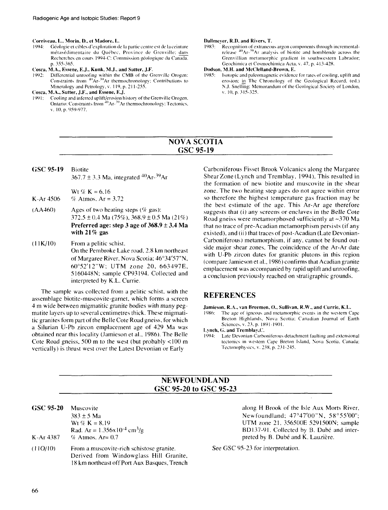# **Corriveau, L., Morin, D., el Madore, L.**

- 1994: Géologie et cibles d'exploration de la partie centre est de la ceinture métasédimentaire du Québec. Province de Grenville: dans Recherches en cours 1994-C: Commission géologique du Canada. p. 355-365.
- **Cosca, M.A., Essene, E.J., Kunk, M.J., and Sutter, J.F.**<br>1992: Differential unroofing within the CMB of the G
- 1992: Differential unroofing within the CMB of the Grenville Orogen: Constraints from <sup>40</sup>Ar-<sup>39</sup>Ar thermochronology; Contributions to Mineralogy and Petrology, v. 119, p. 211-255.
- **Cosca, M.A., Sutter, J.F., and Essene, E.J.**
- 1991: Cooling and inferred uplift/erosion history of the Grenville Orogen. Ontario: Constraints from <sup>40</sup>Ar-<sup>39</sup>Ar thermochronology: Tectonics. v. 10. p. 959-977.

#### **Dallmeyer, R.I), and Rivers, T.**

Recognition of extraneous argon components through incrementalrelease <sup>40</sup>Ar-<sup>30</sup>Ar analysis of biotite and hornblende across the Grenvillian metamorphic gradient in southwestern Labrador: Geochimica et Cosmochimica Acta. v. 47. p. 413-428.

#### **Dodson, M.H. and YlcClelland-Brown, E.**

Isotopic and paleomagnetic evidence for rates of cooling, uplift and erosion: in The Chronology of the Geological Record, (ed.) N.J. Snelling: Memorandum of the Geological Society of London, v. 10. p. 315-325.

### NOVA SCOTIA GSC 95-19

GSC **95-19** Biotite  $367.7 \pm 3.3$  Ma, integrated  $^{40}Ar^{-39}Ar$ 

 $Wt$  % K = 6.16 K-Ar 4506 % Atmos.  $Ar = 3.72$ 

- (AA460) Ages of two heating steps *(%* gas): 372.5 ± 0.4 Ma (75%), 368.9 ± 0.5 Ma (2**1** %) **Preferred age: step 3 age of 368.9** *±* **3.4 Ma with 21%** gas
- (UK/10) From a pelitic schist. On the Pembroke Lake road. 2.8 km northeast of Margaree River, Nova Scotia; 46°34'57"N, 6()°52'12"W: UTM zone 20, 663497E, 5160448N; sample CP93194. Collected and interpreted by K.L. Currie.

The sample was collected from a pelitic schist, with the assemblage biotite-muscovite-garnet, which forms a screen 4 m wide between migmatitic granite bodies with many pegmatite layers up to several centimetres thick. These migmatitic granites form part of the Belle Cote Road gneiss, for which a Silurian U-Pb zircon emplacement age of 429 Ma was obtained near this locality (Jamieson et al., 1986). The Belle Cote Road gneiss, 500 m to the west (but probably <100 m vertically) is thrust west over the Latest Devonian or Early

Carboniferous Fisset Brook Volcanics along the Margaree Shear Zone (Lynch and Tremblay, 1994). This resulted in the formation of new biotite and muscovite in the shear zone. The two heating step ages do not agree within error so therefore the highest temperature gas fraction may be the best estimate of the age. This Ar-Ar age therefore suggests that (i) any screens or enclaves in the Belle Cote Road gneiss were metamorphosed sufficiently at  $\sim$ 370 Ma that no trace of pre-Acadian metamorphism persists (if any existed), and (ii) that traces of post-Acadian (Late Devonian-Carboniferous) metamorphism. if any, cannot be found outside major shear zones. The coincidence of the Ar-Ar date with U-Pb zircon dates for granitic plutons in this region (compare Jamieson et al., 1986) confirms that Acadian granite emplacement was accompanied by rapid uplift and unroofing, a conclusion previously reached on stratigraphie grounds.

#### REFERENCES

**Jamieson, R.A., van Breemen, ()., Sullivan, R.W., and Currie, K.L.**

19X6: The age of igneous and metamorphic events in the western Cape Breton Highlands. Nova Scotia: Canadian Journal of Earth Sciences, v. 23. p. 1891-1901.

**Lynch, G. and Tremblay,C.**

1994: Late Devonian-Carboniferous detachment faulting and extensional tectonics in western Cape Breton Island, Nova Scotia. Canada: Tectonophysics. v. 23S, p. 231-245.

## NEWFOUNDLAND GSC 95-20 to GSC 95-23

- **GSC 95-20** Muscovite 383 ± 5 Ma Wt  $\% K = 8.19$ Rad. Ar =  $1.356 \times 10^{-4}$  cm<sup>3</sup>/g K-Ar 4387 *%* Atmos. Ar= 0.7
- (110/10) From a muscovite-rich schistose granite. Derived from Windowglass Hill Granite. 18 km northeast off Port Aux Basques. Trench

along H Brook of the Isle Aux Morts River. Newfoundland: 47°47'00"N. 58°55'OO"; UTM zone 21, 356500E 52915OON; sample BDI37-91. Collected by B. Dubé and interpreted by B. Dubé and K. Lauzière.

See GSC 95-23 for interpretation.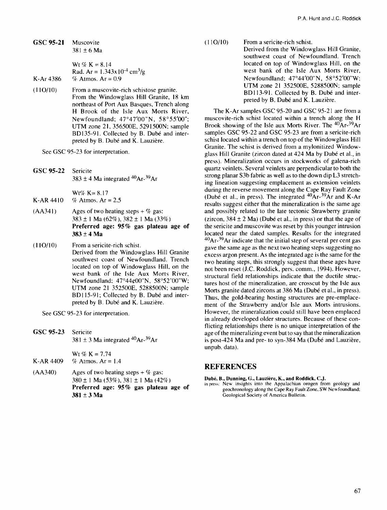**GSC95-21** Muscovite 381 ±6 Ma

Wt % K =  $8.14$ Rad. Ar =  $1.343x10^{-4}$  cm<sup>3</sup>/g K-Ar 4386 % Atmos. Ar =  $0.9$ 

(11O/10) From a muscovite-rich schistose granite. From the Windowglass Hill Granite, 18 km northeast of Port Aux Basques, Trench along H Brook of the Isle Aux Morts River, Newfoundland; 47°47'00"N, 58°55'OO"; UTM zone 21, 356500E, 5291500N; sample BD135-91. Collected by B. Dubé and interpreted by B. Dubé and K. Lauzière.

See GSC 95-23 for interpretation.

GSC **95-22** Sericite  $383 \pm 4$  Ma integrated  $^{40}Ar$ - $^{39}Ar$ 

 $Wt\% K=8.17$ K-AR  $4410 \frac{\% \text{ Atmos.}}{F} = 2.5$ 

- $(AA341)$  Ages of two heating steps + % gas: 383 ± **1** Ma (62%), 382 ± **1** Ma (33%) **Preferred age: 95%** gas **plateau** age **of 383** ± **4** Ma
- (11O/10) From a sericite-rich schist. Derived from the Windowglass Hill Granite southwest coast of Newfoundland. Trench located on top of Windowglass Hill, on the west bank of the Isle Aux Morts River, Newfoundland;  $47^{\circ}44\varphi00"$ N,  $58^{\circ}52'00"$ W; UTM zone 21 3525OOE, 52885OON; sample BD115-91; Collected by B. Dubé and interpreted by B. Dubé and K. Lauzière.

See GSC 95-23 for interpretation.

GSC **95-23** Sericite  $381 \pm 3$  Ma integrated <sup>40</sup>Ar- $^{39}$ Ar

Wt %  $K = 7.74$ 

- K-AR 4409 % Atmos. Ar =  $1.4$
- (AA340) Ages of two heating steps +  $%$  gas: 380 ± 1 Ma (53%), 381 ± **1** Ma (42%) **Preferred age: 95%** gas **plateau** age **of 381** ± 3 **Ma**

(11O/10) From a sericite-rich schist.

Derived from the Windowglass Hill Granite, southwest coast of Newfoundland. Trench located on top of Windowglass Hill, on the west bank of the Isle Aux Morts River, Newfoundland; 47°44'00"N, 58°52'OO"W; UTM zone 21 3525OOE, 52885OON; sample BD113-91. Collected by B. Dubé and interpreted by B. Dubé and K. Lauzière.

The K-Ar samples GSC 95-20 and GSC 95-21 are from a muscovite-rich schist located within a trench along the H Brook showing of the Isle aux Morts River. The <sup>40</sup>Ar-<sup>39</sup>Ar samples GSC 95-22 and GSC 95-23 are from a sericite-rich schist located within a trench on top of the Windowglass Hill Granite. The schist is derived from a mylonitized Windowglass Hill Granite (zircon dated at 424 Ma by Dube et al., in press). Mineralization occurs in stockworks of galena-rich quartz veinlets. Several veinlets are perpendicular to both the strong planar S3b fabric as well as to the down dip L3 stretching lineation suggesting emplacement as extension veinlets during the reverse movement along the Cape Ray Fault Zone The interesting the container along the capability run Esternated  $40Ar<sup>39</sup>Ar$  and K-Architecture and K-Architecture and K-Architecture and K-Architecture and K-Architecture and K-Architecture and K-Architecture and Kresults suggest either that the mineralization is the same age and possibly related to the late tectonic Strawberry granite (zircon,  $384 \pm 2$  Ma) (Dubé et al., in press) or that the age of the sericite and muscovite was reset by this younger intrusion located near the dated samples. Results for the integrated  $^{40}$ Ar- $^{39}$ Ar indicate that the initial step of several per cent gas gave the same age as the next two heating steps suggesting no excess argon present. As the integrated age is the same for the two heating steps, this strongly suggest that these ages have not been reset (J.C. Roddick, pers. comm., 1994). However, structural field relationships indicate that the ductile structures host of the mineralization, are crosscut by the Isle aux Morts granite dated zircons at 386 Ma (Dubé et al., in press). Thus, the gold-bearing hosting structures are pre-emplacement of the Strawberry and/or Isle aux Morts intrusions. ment of the Strawberry and/or Isle aux Morts intrusions.<br>However, the mineralization could still have been emplaced in already developed older structures. Because of these con $f$  already developed order structures. Decause of these conincung relationships there is no unique interpretation of the age of the mineralizing event but to say that the mineralization is post-424 Ma and pre- to syn-384 Ma (Dubé and Lauzière, unpub. data).

### **REFERENCES**

**Dube, B., Dunning, G., Lauziere, K., and Roddick, C.J.**

in press: New insights into the Appalachian orogen from geology and geochronology along the Cape Ray Fault Zone. SW Newfoundland; Geological Society of America Bulletin.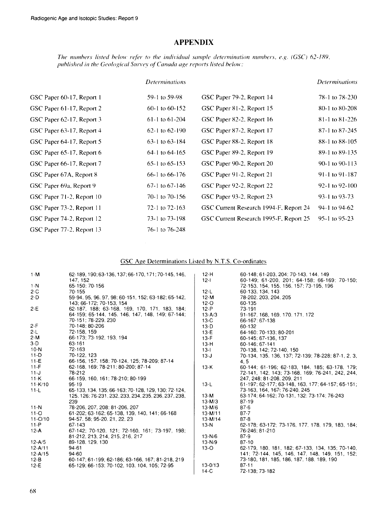## APPENDIX

*The numbers listed below refer to the individual sample determination numbers, e.g. (GSC) 62-189, published in the Geological Survey of Canada age reports listed below:*

|                           | <i>Determinations</i> |                                        | <i>Determinations</i> |
|---------------------------|-----------------------|----------------------------------------|-----------------------|
| GSC Paper 60-17, Report 1 | 59-1 to 59-98         | GSC Paper 79-2, Report 14              | 78-1 to 78-230        |
| GSC Paper 61-17, Report 2 | 60-1 to 60-152        | GSC Paper 81-2, Report 15              | 80-1 to 80-208        |
| GSC Paper 62-17, Report 3 | $61-1$ to $61-204$    | GSC Paper 82-2, Report 16              | 81-1 to 81-226        |
| GSC Paper 63-17, Report 4 | $62-1$ to $62-190$    | GSC Paper 87-2, Report 17              | 87-1 to 87-245        |
| GSC Paper 64-17, Report 5 | $63-1$ to $63-184$    | GSC Paper 88-2, Report 18              | 88-1 to 88-105        |
| GSC Paper 65-17, Report 6 | 64-1 to 64-165        | GSC Paper 89-2, Report 19              | 89-1 to 89-135        |
| GSC Paper 66-17, Report 7 | $65-1$ to $65-153$    | GSC Paper 90-2, Report 20              | 90-1 to 90-113        |
| GSC Paper 67A, Report 8   | 66-1 to 66-176        | GSC Paper 91-2, Report 21              | 91-1 to 91-187        |
| GSC Paper 69a, Report 9   | $67-1$ to $67-146$    | GSC Paper 92-2, Report 22              | 92-1 to 92-100        |
| GSC Paper 71-2, Report 10 | 70-1 to 70-156        | GSC Paper 93-2, Report 23              | 93-1 to 93-73         |
| GSC Paper 73-2, Report 11 | 72-1 to 72-163        | GSC Current Research 1994-F, Report 24 | 94-1 to 94-62         |
| GSC Paper 74-2, Report 12 | 73-1 to 73-198        | GSC Current Research 1995-F, Report 25 | 95-1 to 95-23         |
| GSC Paper 77-2, Report 13 | 76-1 to 76-248        |                                        |                       |

#### GSC Age Determinations Listed by N.T.S, Co-ordinates

| $1 - M$     | 62-189, 190; 63-136, 137; 66-170, 171; 70-145, 146,  | $12-H$      | 60-148: 61-203, 204: 70-143, 144, 149              |
|-------------|------------------------------------------------------|-------------|----------------------------------------------------|
|             | 147, 152                                             | $12 - 1$    | 60-149: 61-200, 201: 64-158: 66-169: 70-150:       |
| $1-N$       | 65-150: 70-156                                       |             | 72-153, 154, 155, 156, 157, 73-195, 196            |
| $2-C$       | 70-155                                               | $12-L$      | 60-133, 134, 143                                   |
| $2-D$       | 59-94, 95, 96, 97, 98; 60-151, 152; 63-182; 65-142,  | 12 M        | 78-202. 203. 204. 205                              |
|             | 143: 66-172: 70-153. 154                             | $12-°$      | 60-135                                             |
| $2-E$       | 62-187, 188, 63-168, 169, 170, 171, 183, 184;        | $12 - P$    | 73-191                                             |
|             | 64-159; 65-144, 145, 146, 147, 148, 149; 67-144;     | $13 - A/3$  | 91-167, 168, 169, 170, 171, 172                    |
|             | 70-151: 78-229, 230                                  | $13-C$      | 66-167: 67-138                                     |
| $2-F$       | 70-148: 80-206                                       | $13-D$      | 60-132                                             |
| $2-L$       | 72-158, 159                                          | $13-E$      | 64-160: 70-133: 80-201                             |
| $2-M$       | 66-173: 73-192, 193, 194                             | $13-F$      | 60-145: 67-136. 137                                |
| $3-D$       | 63-161                                               | $13-H$      | 60-146: 67-141                                     |
| $10-N$      | 72-163                                               | $13 - 1$    | 70-138, 142; 72-140, 150                           |
| $11-D$      | 70-122, 123                                          | $13-J$      | 70-134, 135, 136, 137; 72-139; 78-228; 87-1, 2, 3, |
| $11-E$      | 66-156, 157, 158; 70-124, 125; 78-209; 87-14         |             | 4.5                                                |
| $11-F$      | 62-168, 169; 78-211; 80-200; 87-14                   | $13-K$      | 60-144; 61-196; 62-183, 184, 185; 63-178, 179;     |
| $11-J$      | 78-212                                               |             | 72-141, 142, 143; 73-168, 169; 76-241, 242, 244,   |
| $11-K$      | 66-159, 160, 161; 78-210; 80-199                     |             | 247.248.81-208.209.211                             |
| $11 - K/10$ | $95 - 19$                                            | $13-L$      | 61-197; 62-177; 63-148, 163, 177; 64-157; 65-151;  |
| $11-L$      | 65-133, 134, 135; 66-163; 70-128, 129, 130; 72-124,  |             | 73-163, 164, 167, 76-240, 245                      |
|             | 125, 126, 76-231, 232, 233, 234, 235, 236, 237, 238, | $13-M$      | 63-174; 64-162; 70-131, 132; 73-174; 76-243        |
|             | 239                                                  | $13-M/3$    | $87 - 19$                                          |
| $11-N$      | 78-206, 207, 208; 81-206, 207                        | $13-M/6$    | $87-6$                                             |
| $11 - Q$    | 61-202; 63-162; 65-138, 139, 140, 141; 66-168        | $13-M/11$   | $87 - 7$                                           |
| $11 - O/10$ | 94-57, 58; 95-20, 21, 22, 23                         | $13-M/14$   | $87 - 8$                                           |
| $11 - P$    | 67-143                                               | $13-N$      | 62-178; 63-172; 73-176, 177, 178, 179, 183, 184;   |
| $12-A$      | 67-142; 70-120, 121; 72-160, 161; 73-197, 198;       |             | 76-246: 81-210                                     |
|             | 81-212, 213, 214, 215, 216, 217                      | $13-N/6$    | $87-9$                                             |
| 12-A/5      | 89-128, 129, 130                                     | $13 - N/9$  | $87 - 10$                                          |
| $12 - A/11$ | 94-61                                                | $13-O$      | 62-179, 180, 181, 182; 67-133, 134, 135; 70-140,   |
| $12 - A/15$ | 94-60                                                |             | 141; 72-144, 145, 146, 147, 148, 149, 151, 152;    |
| $12-B$      | 60-147; 61-199; 62-186; 63-166, 167; 81-218, 219     |             | 73-180, 181, 185, 186, 187, 188, 189, 190          |
| $12-E$      | 65-129: 66-153: 70-102. 103. 104. 105: 72-95         | $13 - 0/13$ | $87 - 11$                                          |
|             |                                                      | $14-C$      | 72-138; 73-182                                     |
|             |                                                      |             |                                                    |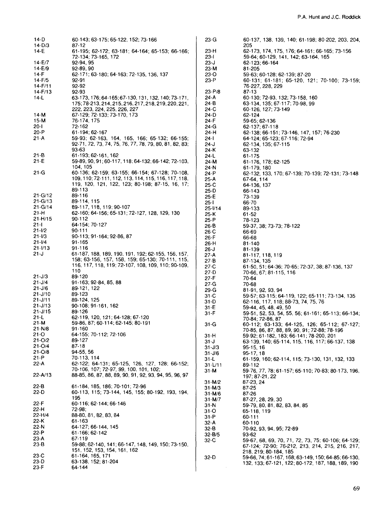| 14-D                     | 60-143, 63-175; 65-122, 152; 73-166                                                                     | $23-G$              | 60-137, 138, 139, 140; 61-198; 80-202, 203, 204,             |
|--------------------------|---------------------------------------------------------------------------------------------------------|---------------------|--------------------------------------------------------------|
| $14-D/3$<br>14-E         | 87-12<br>$61-195$ ; 62-172; 63-181; 64-164; 65-153; 66-166;                                             | 23-H                | 205<br>62-173, 174, 175, 176; 64-161; 66-165; 73-156         |
|                          | 72-134; 73-165, 172                                                                                     | 23-l                | 59-64; 60-129, 141, 142; 63-164, 165                         |
| $14-E/7$                 | 92-94 95                                                                                                | 23-J                | 62-123; 66-164                                               |
| $14-E/9$                 | 92-89, 90                                                                                               | 23-M                | 81-205                                                       |
| 14-F                     | 62-171; 63-180; 64-163; 72-135, 136, 137                                                                | 23-O                | 59-63; 60-128; 62-139; 87-20                                 |
| $14 - F/5$               | 92-91                                                                                                   | 23-P                | 60-131; 61-181; 65-120, 121; 70-100; 73-159;                 |
| $14 - F/11$              | 92-92                                                                                                   |                     | 76-227, 228, 229                                             |
| $14-F/13$                | 92-93                                                                                                   | $23 - P/8$          | 87-13                                                        |
| 14-L                     | 63-173, 176; 64-165; 67-130, 131, 132, 140; 73-171,                                                     | 24-A                | 60-130; 72-93, 132; 73-158, 160                              |
|                          | 175; 78-213, 214, 215, 216, 217, 218, 219, 220, 221,                                                    | 24-B                | 63-134, 135; 67-117; 70-98, 99                               |
|                          | 222, 223, 224, 225, 226, 227                                                                            | 24-C                | 60-126, 127; 73-149                                          |
| $14-M$                   | 67-129; 72-133; 73-170, 173                                                                             | 24-D                | 62-124                                                       |
| 15-M                     | 76-174.175                                                                                              | 24-F                | 59-65; 62-136                                                |
| 20-l                     | 72-162                                                                                                  | 24-G                | 62-137; 67-118                                               |
| 20-P                     | 61-194; 62-167                                                                                          | 24-H                | 62-138; 66-151; 73-146, 147, 157; 76-230                     |
| $21-A$                   | 59-93; 62-163, 164, 165, 166; 65-132; 66-155;<br>92-71, 72, 73, 74, 75, 76, 77, 78, 79, 80, 81, 82, 83; | 24-l                | 64-124; 65-123; 67-116; 72-94                                |
|                          | 93-63                                                                                                   | 24-J<br>24-K        | 62-134, 135; 67-115<br>63-132                                |
| 21 B                     | 61-193; 62-161, 162                                                                                     | 24-L                | 61-175                                                       |
| $21 - E$                 | 59-89, 90, 91; 60-117, 118; 64-132; 66-142; 72-103,                                                     | 24-M                | 61-176, 178; 62-125                                          |
|                          | 104, 105                                                                                                | 24-N                | 61-179, 180                                                  |
| 21-G                     | 60-136; 62-159; 63-155; 66-154; 67-128; 70-108,                                                         | 24-P                | 62-132, 133, 170; 67-139; 70-139; 72-131; 73-148             |
|                          | 109, 110; 72-111, 112, 113, 114, 115, 116, 117, 118,                                                    | 25 A                | 67-64, 114                                                   |
|                          | 119, 120, 121, 122, 123; 80-198; 87-15, 16, 17;                                                         | 25-C                | 64-136, 137                                                  |
|                          | 89-113                                                                                                  | 25-D                | 66-143                                                       |
| $21 - G/12$              | 89-116                                                                                                  | 25-E                | 73-139                                                       |
| $21 - G/13$              | 89-114, 115                                                                                             | $25 - 1$            | 66-70                                                        |
| $21 - G/14$              | 89-117, 118, 119; 90-107                                                                                | $25 - 1/14$         | 89-133                                                       |
| 21-H                     | 62-160; 64-156; 65-131; 72-127, 128, 129, 130                                                           | 25 K                | $61 - 52$                                                    |
| $21 - H/15$              | $90 - 112$                                                                                              | $25 - P$            | 78-123                                                       |
| 21-I                     | 64-154; 70-127                                                                                          | 26 B                | 59-37, 38, 73-73, 78-122                                     |
| $21 - 1/2$               | 90-111                                                                                                  | 26-C                | 66-69                                                        |
| $21 - 1/3$               | 90-113; 91-164; 92-86, 87                                                                               | 26-F                | 66-68                                                        |
| $21 - 1/4$               | 91-165                                                                                                  | 26-H                | 81-140                                                       |
| 21-1/13                  | 91-116                                                                                                  | $26 - J$            | 81-139                                                       |
| 21-J                     | 61-187, 188, 189, 190, 191, 192; 62-155, 156, 157,<br>158; 63-156, 157, 158, 159; 65-130; 70-111, 115,  | $27-A$              | 81-117, 118, 119                                             |
|                          | 116, 117, 118, 119; 72-107, 108, 109, 110; 90-109,                                                      | $27-B$              | 87-134, 135                                                  |
|                          | 110                                                                                                     | $27-C$<br>27-D      | 61-50, 51; 64-36; 70-65; 72-37, 38; 87-136, 137              |
| $21 - J/3$               | 89-120                                                                                                  | $27-F$              | 70-66 67; 81-115, 116<br>70-64                               |
| $21 - J/4$               | 91-163; 92-84, 85, 88                                                                                   | $27-G$              | 70-68                                                        |
| $21 - J/6$               | 89-121, 122                                                                                             | $29-G$              | 81-91, 92, 93, 94                                            |
| $21 - J/10$              | 89-123                                                                                                  | $31-C$              | 59-57, 63-115; 64-119, 122; 65-111; 73-134, 135              |
| $21 - J/11$              | 89-124, 125                                                                                             | 31-D                | 62-116, 117, 118; 88-73, 74, 75, 76                          |
| $21 - J/13$              | 90-108; 91-161, 162                                                                                     | $31-E$              | 59-44, 45, 48, 49, 50                                        |
| $21 - J/15$              | 89-126                                                                                                  | $31-F$              | 59-51, 52, 53, 54, 55, 56; 61-161; 65-113; 66-134;           |
| $21 - L$                 | 62-119, 120, 121; 64-128; 67-120                                                                        |                     | 70-84; 72-86, 87                                             |
| 21-M                     | 59-86, 87; 60-114; 62-145; 80-191                                                                       | 31-G                | 60-112; 63-133; 64-125, 126; 65-112; 67-127;                 |
| 21-N/8                   | 91-160                                                                                                  |                     | 70-85, 86, 87, 88, 89, 90, 91; 72-88; 78-196                 |
| 21-O                     | 64-155; 70-112; 72-106                                                                                  | $31-H$              | 59-92; 61-182, 183; 66-141; 78-200, 201                      |
| $21 - 0/2$<br>$21 - O/4$ | 89-127<br>87-18                                                                                         | 31-J                | 63-139, 140; 65-114, 115, 116, 117; 66-137, 138              |
| $21 - O/8$               | 94-55, 56                                                                                               | $31 - J/3$          | 95-15, 16                                                    |
| 21-P                     | 70-113, 114                                                                                             | $31 - J/6$          | $95-17, 18$                                                  |
| $22-A$                   | 62-122; 64-131; 65-125, 126, 127, 128; 66-152;                                                          | 31-L                | 61-159, 160; 62-114, 115, 73-130, 131, 132, 133              |
|                          | 70-106, 107, 72-97, 99, 100, 101, 102;                                                                  | $31 - L/11$<br>31-M | 89-112<br>59-76, 77, 78; 61-157; 65-110; 70-83; 80-173, 196, |
| $22 - A/13$              | 88-85, 86, 87, 88, 89, 90, 91, 92, 93, 94, 95, 96, 97                                                   |                     | 197; 87-21, 22                                               |
|                          |                                                                                                         | $31 - M/2$          | 87-23, 24                                                    |
| 22-B                     | 61-184, 185, 186; 70-101; 72-96                                                                         | $31 - M/3$          | 87-25                                                        |
| 22-D                     | 60-113, 115; 73-144, 145, 155; 80-192, 193, 194,                                                        | $31 - M/6$          | 87-26                                                        |
|                          | 195                                                                                                     | $31 - M/7$          | 87-27, 28, 29, 30                                            |
| 22-F                     | 60-116: 62-144; 66-146                                                                                  | 31-N                | 59-79, 80, 81, 82, 83, 84, 85                                |
| 22-H                     | 72-98;                                                                                                  | 31-O                | 65-118 119                                                   |
| 22-H/4                   | 88-80, 81, 82, 83, 84                                                                                   | $31-P$              | 60-111                                                       |
| 22-K                     | 61-163                                                                                                  | 32-A                | 60-110                                                       |
| 22-N                     | 64-127; 66-144, 145                                                                                     | 32-B                | 70-92, 93, 94, 95; 72-89                                     |
| 22-P                     | 61-166; 62-142                                                                                          | 32-B/5              | 93-62                                                        |
| 23-A                     | 67-119                                                                                                  | 32-C                | 59-67, 68, 69, 70, 71, 72, 73, 75; 60-106; 64-129;           |
| $23-B$                   | 59-88; 62-140, 141; 66-147, 148, 149, 150; 73-150,                                                      |                     | 67-124; 72-90, 76-212, 213, 214, 215, 216, 217,              |
| 23-C                     | 151, 152, 153, 154, 161, 162<br>61-164, 165, 171                                                        |                     | 218, 219, 80-184, 185                                        |
| $23-D$                   | 63-138, 152; 81-204                                                                                     | $32-D$              | 59-66, 74; 61-167, 168; 63-149, 150; 64-85; 66-130,          |
| 23-F                     | 64-144                                                                                                  |                     | 132, 133; 67-121, 122; 80-172, 187, 188, 189, 190            |
|                          |                                                                                                         |                     |                                                              |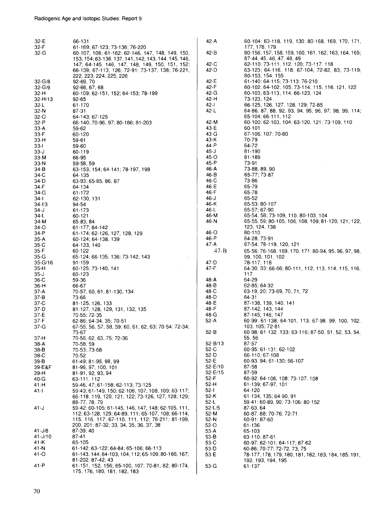| 177, 178, 179<br>32-F<br>61-169; 67-123; 73-136; 76-220<br>$42 - B$<br>80-156, 157, 158, 159, 160, 161, 162, 163, 164, 165;<br>32-G<br>60-107, 108; 61-162; 62-146, 147, 148, 149, 150,<br>87-44, 45, 46, 47, 48, 49<br>153, 154; 63-136, 137, 141, 142, 143, 144, 145, 146,<br>$42-C$<br>62-110; 73-111, 112, 120; 73-117, 118<br>147; 64-145, 146, 147, 148, 149, 150, 151, 152;<br>66-139; 67-113, 126; 72-91; 73-137, 138; 76-221,<br>42-D<br>63-123; 64-116, 118; 67-104; 72-82, 83; 73-119;<br>80-153, 154, 155<br>222, 223, 224, 225, 226<br>42-E<br>61-140; 64-115; 73-113; 76-210<br>$32 - G/8$<br>92-69, 70<br>42-F<br>60-102; 64-102, 105; 73-114, 115, 116, 121, 122<br>32-G/9<br>92-66, 67, 68<br>60-109: 62-151, 152; 64-153; 78-199<br>42-G<br>60-103; 63-113, 114; 66-123, 124<br>32-H<br>42-H<br>73-123, 124<br>$32 - H/13$<br>92-65<br>42-l<br>66-125, 126, 127, 128, 129; 72-85<br>$32-L$<br>61-170<br>$42-L$<br>64-86, 87, 88, 92, 93, 94, 95, 96, 97, 98, 99, 114;<br>$32-N$<br>87-31<br>65-104: 66-111, 112<br>32-O<br>64-143: 67-125<br>60-100: 62-103, 104; 63-120, 121; 73-109, 110<br>42-M<br>32-P<br>66-140; 70-96, 97; 80-186; 81-203<br>43-E<br>60-101<br>$33-A$<br>59-62<br>43-G<br>67-106, 107: 70-80<br>$33-F$<br>60-120<br>43-K<br>70-79<br>33-H<br>59-61<br>44-P<br>64-72<br>33-I<br>59-60<br>45-J<br>81-190<br>$33 - J$<br>60-119<br>45-O<br>81-189<br>$33-M$<br>66-95 |  |
|-----------------------------------------------------------------------------------------------------------------------------------------------------------------------------------------------------------------------------------------------------------------------------------------------------------------------------------------------------------------------------------------------------------------------------------------------------------------------------------------------------------------------------------------------------------------------------------------------------------------------------------------------------------------------------------------------------------------------------------------------------------------------------------------------------------------------------------------------------------------------------------------------------------------------------------------------------------------------------------------------------------------------------------------------------------------------------------------------------------------------------------------------------------------------------------------------------------------------------------------------------------------------------------------------------------------------------------------------------------------------------------------------------------|--|
|                                                                                                                                                                                                                                                                                                                                                                                                                                                                                                                                                                                                                                                                                                                                                                                                                                                                                                                                                                                                                                                                                                                                                                                                                                                                                                                                                                                                           |  |
|                                                                                                                                                                                                                                                                                                                                                                                                                                                                                                                                                                                                                                                                                                                                                                                                                                                                                                                                                                                                                                                                                                                                                                                                                                                                                                                                                                                                           |  |
|                                                                                                                                                                                                                                                                                                                                                                                                                                                                                                                                                                                                                                                                                                                                                                                                                                                                                                                                                                                                                                                                                                                                                                                                                                                                                                                                                                                                           |  |
|                                                                                                                                                                                                                                                                                                                                                                                                                                                                                                                                                                                                                                                                                                                                                                                                                                                                                                                                                                                                                                                                                                                                                                                                                                                                                                                                                                                                           |  |
|                                                                                                                                                                                                                                                                                                                                                                                                                                                                                                                                                                                                                                                                                                                                                                                                                                                                                                                                                                                                                                                                                                                                                                                                                                                                                                                                                                                                           |  |
|                                                                                                                                                                                                                                                                                                                                                                                                                                                                                                                                                                                                                                                                                                                                                                                                                                                                                                                                                                                                                                                                                                                                                                                                                                                                                                                                                                                                           |  |
|                                                                                                                                                                                                                                                                                                                                                                                                                                                                                                                                                                                                                                                                                                                                                                                                                                                                                                                                                                                                                                                                                                                                                                                                                                                                                                                                                                                                           |  |
|                                                                                                                                                                                                                                                                                                                                                                                                                                                                                                                                                                                                                                                                                                                                                                                                                                                                                                                                                                                                                                                                                                                                                                                                                                                                                                                                                                                                           |  |
|                                                                                                                                                                                                                                                                                                                                                                                                                                                                                                                                                                                                                                                                                                                                                                                                                                                                                                                                                                                                                                                                                                                                                                                                                                                                                                                                                                                                           |  |
|                                                                                                                                                                                                                                                                                                                                                                                                                                                                                                                                                                                                                                                                                                                                                                                                                                                                                                                                                                                                                                                                                                                                                                                                                                                                                                                                                                                                           |  |
|                                                                                                                                                                                                                                                                                                                                                                                                                                                                                                                                                                                                                                                                                                                                                                                                                                                                                                                                                                                                                                                                                                                                                                                                                                                                                                                                                                                                           |  |
|                                                                                                                                                                                                                                                                                                                                                                                                                                                                                                                                                                                                                                                                                                                                                                                                                                                                                                                                                                                                                                                                                                                                                                                                                                                                                                                                                                                                           |  |
|                                                                                                                                                                                                                                                                                                                                                                                                                                                                                                                                                                                                                                                                                                                                                                                                                                                                                                                                                                                                                                                                                                                                                                                                                                                                                                                                                                                                           |  |
|                                                                                                                                                                                                                                                                                                                                                                                                                                                                                                                                                                                                                                                                                                                                                                                                                                                                                                                                                                                                                                                                                                                                                                                                                                                                                                                                                                                                           |  |
|                                                                                                                                                                                                                                                                                                                                                                                                                                                                                                                                                                                                                                                                                                                                                                                                                                                                                                                                                                                                                                                                                                                                                                                                                                                                                                                                                                                                           |  |
|                                                                                                                                                                                                                                                                                                                                                                                                                                                                                                                                                                                                                                                                                                                                                                                                                                                                                                                                                                                                                                                                                                                                                                                                                                                                                                                                                                                                           |  |
|                                                                                                                                                                                                                                                                                                                                                                                                                                                                                                                                                                                                                                                                                                                                                                                                                                                                                                                                                                                                                                                                                                                                                                                                                                                                                                                                                                                                           |  |
| 45-P<br>73-91<br>33-N<br>59-58, 59                                                                                                                                                                                                                                                                                                                                                                                                                                                                                                                                                                                                                                                                                                                                                                                                                                                                                                                                                                                                                                                                                                                                                                                                                                                                                                                                                                        |  |
| 46-A<br>73-88, 89, 90<br>34-B<br>63-153, 154; 64-141; 78-197, 198                                                                                                                                                                                                                                                                                                                                                                                                                                                                                                                                                                                                                                                                                                                                                                                                                                                                                                                                                                                                                                                                                                                                                                                                                                                                                                                                         |  |
| 46-B<br>65-77; 73-87<br>34-C<br>64 135                                                                                                                                                                                                                                                                                                                                                                                                                                                                                                                                                                                                                                                                                                                                                                                                                                                                                                                                                                                                                                                                                                                                                                                                                                                                                                                                                                    |  |
| 46-C<br>73-86<br>63-93; 65-85, 86, 87<br>34-D                                                                                                                                                                                                                                                                                                                                                                                                                                                                                                                                                                                                                                                                                                                                                                                                                                                                                                                                                                                                                                                                                                                                                                                                                                                                                                                                                             |  |
| 65-79<br>46-E<br>34 F<br>64-134<br>46-F<br>65-78                                                                                                                                                                                                                                                                                                                                                                                                                                                                                                                                                                                                                                                                                                                                                                                                                                                                                                                                                                                                                                                                                                                                                                                                                                                                                                                                                          |  |
| 34-G<br>61-172<br>65-52<br>46-J<br>$34 - 1$<br>62-130, 131                                                                                                                                                                                                                                                                                                                                                                                                                                                                                                                                                                                                                                                                                                                                                                                                                                                                                                                                                                                                                                                                                                                                                                                                                                                                                                                                                |  |
| 46-K<br>65-53: 80-107<br>$34 - 1/3$<br>94-54                                                                                                                                                                                                                                                                                                                                                                                                                                                                                                                                                                                                                                                                                                                                                                                                                                                                                                                                                                                                                                                                                                                                                                                                                                                                                                                                                              |  |
| 46-L<br>65-57: 67-90<br>34-J<br>61-173                                                                                                                                                                                                                                                                                                                                                                                                                                                                                                                                                                                                                                                                                                                                                                                                                                                                                                                                                                                                                                                                                                                                                                                                                                                                                                                                                                    |  |
| 46-M<br>65-54, 58; 73-109, 110; 80-103, 104<br>34-L<br>60-121                                                                                                                                                                                                                                                                                                                                                                                                                                                                                                                                                                                                                                                                                                                                                                                                                                                                                                                                                                                                                                                                                                                                                                                                                                                                                                                                             |  |
| 46-N<br>65-55, 59; 80-105, 106, 108, 109; 81-120, 121, 122,<br>34-M<br>65-83, 84                                                                                                                                                                                                                                                                                                                                                                                                                                                                                                                                                                                                                                                                                                                                                                                                                                                                                                                                                                                                                                                                                                                                                                                                                                                                                                                          |  |
| 123, 124, 138<br>34-O<br>61-177; 64-142                                                                                                                                                                                                                                                                                                                                                                                                                                                                                                                                                                                                                                                                                                                                                                                                                                                                                                                                                                                                                                                                                                                                                                                                                                                                                                                                                                   |  |
| 46-O<br>80-110<br>34 P<br>61-174; 62-126, 127, 128, 129<br>46-P<br>64-28; 73-91                                                                                                                                                                                                                                                                                                                                                                                                                                                                                                                                                                                                                                                                                                                                                                                                                                                                                                                                                                                                                                                                                                                                                                                                                                                                                                                           |  |
| 35-A<br>60-124; 64-138, 139<br>$47-A$<br>67-54; 78-119, 120, 121<br>35 C<br>64-133, 140                                                                                                                                                                                                                                                                                                                                                                                                                                                                                                                                                                                                                                                                                                                                                                                                                                                                                                                                                                                                                                                                                                                                                                                                                                                                                                                   |  |
| 47-B<br>35-F<br>60-122<br>65-56; 76-168, 169, 170, 171; 80-94, 95, 96, 97, 98,                                                                                                                                                                                                                                                                                                                                                                                                                                                                                                                                                                                                                                                                                                                                                                                                                                                                                                                                                                                                                                                                                                                                                                                                                                                                                                                            |  |
| 35-G<br>65-124; 66-135, 136; 73-142, 143<br>99, 100, 101, 102                                                                                                                                                                                                                                                                                                                                                                                                                                                                                                                                                                                                                                                                                                                                                                                                                                                                                                                                                                                                                                                                                                                                                                                                                                                                                                                                             |  |
| $35-G/16$<br>47-D<br>78-117, 118<br>$91 - 159$                                                                                                                                                                                                                                                                                                                                                                                                                                                                                                                                                                                                                                                                                                                                                                                                                                                                                                                                                                                                                                                                                                                                                                                                                                                                                                                                                            |  |
| 47-F<br>35-H<br>60-125; 73-140, 141<br>64-30, 33, 66-66; 80-111, 112, 113, 114, 115, 116,                                                                                                                                                                                                                                                                                                                                                                                                                                                                                                                                                                                                                                                                                                                                                                                                                                                                                                                                                                                                                                                                                                                                                                                                                                                                                                                 |  |
| 35-J<br>60-123<br>117                                                                                                                                                                                                                                                                                                                                                                                                                                                                                                                                                                                                                                                                                                                                                                                                                                                                                                                                                                                                                                                                                                                                                                                                                                                                                                                                                                                     |  |
| 64-29<br>48-A<br>36-C<br>59-36<br>48-B<br>62-85; 64-32<br>36-H<br>66-67                                                                                                                                                                                                                                                                                                                                                                                                                                                                                                                                                                                                                                                                                                                                                                                                                                                                                                                                                                                                                                                                                                                                                                                                                                                                                                                                   |  |
| 48-C<br>63-19, 20: 73-69, 70, 71, 72<br>70-57, 60, 61; 81-130, 134<br>$37-A$                                                                                                                                                                                                                                                                                                                                                                                                                                                                                                                                                                                                                                                                                                                                                                                                                                                                                                                                                                                                                                                                                                                                                                                                                                                                                                                              |  |
| 48-D<br>64-31<br>37-B<br>73-66                                                                                                                                                                                                                                                                                                                                                                                                                                                                                                                                                                                                                                                                                                                                                                                                                                                                                                                                                                                                                                                                                                                                                                                                                                                                                                                                                                            |  |
| 48-E<br>$37-C$<br>87-138, 139, 140, 141<br>81-125, 126, 133                                                                                                                                                                                                                                                                                                                                                                                                                                                                                                                                                                                                                                                                                                                                                                                                                                                                                                                                                                                                                                                                                                                                                                                                                                                                                                                                               |  |
| 48-F<br>37-D<br>87-142, 143, 144<br>81-127, 128, 129, 131, 132, 135                                                                                                                                                                                                                                                                                                                                                                                                                                                                                                                                                                                                                                                                                                                                                                                                                                                                                                                                                                                                                                                                                                                                                                                                                                                                                                                                       |  |
| 48-G<br>37-E<br>87-145, 146, 147<br>70-55: 72-35<br>$52-A$                                                                                                                                                                                                                                                                                                                                                                                                                                                                                                                                                                                                                                                                                                                                                                                                                                                                                                                                                                                                                                                                                                                                                                                                                                                                                                                                                |  |
| 60-99; 61-138; 64-101, 113; 67-98, 99, 100, 102,<br>37-F<br>62-86: 64-34, 35: 70-51<br>103, 105, 72-81<br>37-G<br>67-55, 56, 57, 58, 59, 60, 61, 62, 63; 70-54; 72-34;                                                                                                                                                                                                                                                                                                                                                                                                                                                                                                                                                                                                                                                                                                                                                                                                                                                                                                                                                                                                                                                                                                                                                                                                                                    |  |
| $52-B$<br>60-98; 61-132, 133; 63-116; 87-50, 51, 52, 53, 54,<br>73-67                                                                                                                                                                                                                                                                                                                                                                                                                                                                                                                                                                                                                                                                                                                                                                                                                                                                                                                                                                                                                                                                                                                                                                                                                                                                                                                                     |  |
| 55, 56<br>37-H<br>70-56, 62, 63, 75; 72-36                                                                                                                                                                                                                                                                                                                                                                                                                                                                                                                                                                                                                                                                                                                                                                                                                                                                                                                                                                                                                                                                                                                                                                                                                                                                                                                                                                |  |
| 87 57<br>$38-A$<br>52-B/13<br>70-58, 59                                                                                                                                                                                                                                                                                                                                                                                                                                                                                                                                                                                                                                                                                                                                                                                                                                                                                                                                                                                                                                                                                                                                                                                                                                                                                                                                                                   |  |
| 52-C<br>60-95; 61-131; 62-102<br>38-B<br>70-53; 73-68                                                                                                                                                                                                                                                                                                                                                                                                                                                                                                                                                                                                                                                                                                                                                                                                                                                                                                                                                                                                                                                                                                                                                                                                                                                                                                                                                     |  |
| $52-D$<br>66-110: 67-108<br>38-C<br>70-52<br>52-E<br>60-93, 94; 61-130; 66-107                                                                                                                                                                                                                                                                                                                                                                                                                                                                                                                                                                                                                                                                                                                                                                                                                                                                                                                                                                                                                                                                                                                                                                                                                                                                                                                            |  |
| 39-B<br>61-49, 81-95, 98, 99<br>52-E/10<br>87-58<br>39-E&F<br>81-96, 97, 100, 101                                                                                                                                                                                                                                                                                                                                                                                                                                                                                                                                                                                                                                                                                                                                                                                                                                                                                                                                                                                                                                                                                                                                                                                                                                                                                                                         |  |
| 52-E/15<br>87-59<br>39-H<br>81-91, 92, 93, 94                                                                                                                                                                                                                                                                                                                                                                                                                                                                                                                                                                                                                                                                                                                                                                                                                                                                                                                                                                                                                                                                                                                                                                                                                                                                                                                                                             |  |
| 52-F<br>60-92; 64-106, 108: 73-107, 108<br>40-G<br>63-111, 112                                                                                                                                                                                                                                                                                                                                                                                                                                                                                                                                                                                                                                                                                                                                                                                                                                                                                                                                                                                                                                                                                                                                                                                                                                                                                                                                            |  |
| 52-H<br>61-139; 67-97. 101<br>41-H<br>59-46, 47; 61-158; 62-113; 73-125                                                                                                                                                                                                                                                                                                                                                                                                                                                                                                                                                                                                                                                                                                                                                                                                                                                                                                                                                                                                                                                                                                                                                                                                                                                                                                                                   |  |
| $52-1$<br>64-120<br>$41 -$<br>59-43: 61-149. 150: 62-106. 107. 108. 109: 63-117:                                                                                                                                                                                                                                                                                                                                                                                                                                                                                                                                                                                                                                                                                                                                                                                                                                                                                                                                                                                                                                                                                                                                                                                                                                                                                                                          |  |
| 52-K<br>61-134, 135; 64-90, 91<br>66-118, 119, 120, 121, 122, 73-126, 127, 128, 129,                                                                                                                                                                                                                                                                                                                                                                                                                                                                                                                                                                                                                                                                                                                                                                                                                                                                                                                                                                                                                                                                                                                                                                                                                                                                                                                      |  |
| 52-L<br>59-41; 60-89, 90; 73-106; 80-152<br>88-77, 78, 79<br>59-42; 60-105; 61-145, 146, 147, 148; 62-105, 111,<br>52-L/5<br>87-63, 64                                                                                                                                                                                                                                                                                                                                                                                                                                                                                                                                                                                                                                                                                                                                                                                                                                                                                                                                                                                                                                                                                                                                                                                                                                                                    |  |
| 41-J<br>112; 63-128, 129; 64-89, 111; 65-107, 108; 66-114,<br>52-M<br>60-87, 88; 70-76; 72-71                                                                                                                                                                                                                                                                                                                                                                                                                                                                                                                                                                                                                                                                                                                                                                                                                                                                                                                                                                                                                                                                                                                                                                                                                                                                                                             |  |
| 115, 116, 117; 67-110, 111, 112; 76-211; 81-199,<br>52-N<br>60-91:87-60                                                                                                                                                                                                                                                                                                                                                                                                                                                                                                                                                                                                                                                                                                                                                                                                                                                                                                                                                                                                                                                                                                                                                                                                                                                                                                                                   |  |
| 200, 201; 87-32, 33, 34, 35, 36, 37, 38<br>52-O<br>61-136                                                                                                                                                                                                                                                                                                                                                                                                                                                                                                                                                                                                                                                                                                                                                                                                                                                                                                                                                                                                                                                                                                                                                                                                                                                                                                                                                 |  |
| $41 - J/8$<br>87-39, 40<br>53-A<br>65-103                                                                                                                                                                                                                                                                                                                                                                                                                                                                                                                                                                                                                                                                                                                                                                                                                                                                                                                                                                                                                                                                                                                                                                                                                                                                                                                                                                 |  |
| $41 - J/10$<br>87-41<br>53-B<br>63-110: 87-61                                                                                                                                                                                                                                                                                                                                                                                                                                                                                                                                                                                                                                                                                                                                                                                                                                                                                                                                                                                                                                                                                                                                                                                                                                                                                                                                                             |  |
| 41-K<br>65-105<br>53-C<br>60-97: 62-101: 64-117: 87-62                                                                                                                                                                                                                                                                                                                                                                                                                                                                                                                                                                                                                                                                                                                                                                                                                                                                                                                                                                                                                                                                                                                                                                                                                                                                                                                                                    |  |
| 41-N<br>61-142; 63-122; 64-84; 65-106; 66-113<br>53-D<br>60-86; 70-77; 72-72, 73, 75<br>41-O<br>61-143, 144; 64-103, 104, 112; 65-109; 80-166, 167;<br>53-E<br>78-177.178,179,180,181,182,183,184,185,191,                                                                                                                                                                                                                                                                                                                                                                                                                                                                                                                                                                                                                                                                                                                                                                                                                                                                                                                                                                                                                                                                                                                                                                                                |  |
| 81-202; 87-42, 43<br>192, 193, 194, 195                                                                                                                                                                                                                                                                                                                                                                                                                                                                                                                                                                                                                                                                                                                                                                                                                                                                                                                                                                                                                                                                                                                                                                                                                                                                                                                                                                   |  |
| 41-P<br>61-151, 152, 156; 65-100, 107; 70-81, 82; 80-174,<br>53-G<br>61-137<br>175, 176, 180, 181, 182, 183                                                                                                                                                                                                                                                                                                                                                                                                                                                                                                                                                                                                                                                                                                                                                                                                                                                                                                                                                                                                                                                                                                                                                                                                                                                                                               |  |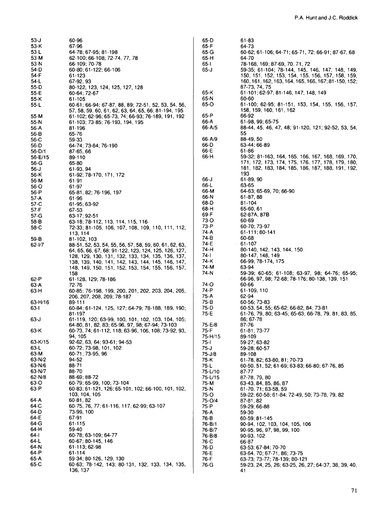| 53-J       | 60-96                                                  |
|------------|--------------------------------------------------------|
| 53-K       | 67-96                                                  |
| 53-L       | 64-78; 67-95; 81-198                                   |
| 53-M       | 62-100; 66-108; 72-74, 77, 78                          |
| 53-N       | 66-109; 70-78                                          |
| 54-D       | 60-80; 61-122; 66-106                                  |
| 54-F       | 61-123                                                 |
| 54-L       | 67-92.93                                               |
| 55-D       |                                                        |
|            | 80-122, 123, 124, 125, 127, 128                        |
| 55-E       | 60-64: 72-67                                           |
| 55 K       | 61-105                                                 |
| 55-L       | 60-61; 66-94; 67-87, 88, 89; 72-51, 52, 53, 54, 56,    |
|            | 57, 58, 59, 60, 61, 62, 63, 64, 65, 66, 81-194, 195    |
| 55-M       | 61-102; 62-96; 65-73, 74; 66-93; 76-189, 191, 192      |
| 55-N       | 61-103: 73-85: 76-193. 194. 195                        |
| 56-A       | 81-196                                                 |
| 56-B       | 65-76                                                  |
| 56-C       | 59-33                                                  |
| 56-D       | 64-74; 73-84; 76-190                                   |
| 56-D/1     | 87-65, 66                                              |
|            |                                                        |
| 56-E/15    | 89-110                                                 |
| 56-G       | 65-80                                                  |
| 56-J       | 61-93, 94                                              |
| 56-K       | 61-92; 78-170, 171, 172                                |
| 56-M       | 61-91                                                  |
| 56-O       | 61-97                                                  |
| 56-P       | 65-81, 82; 76-196, 197                                 |
| 57 A       | 61-96                                                  |
| 57-C       | 61-95; 63-92                                           |
| 57-F       | 67-53                                                  |
| 57-G       | 63-17; 92-51                                           |
|            |                                                        |
| 58-B       | 63-18; 78-112, 113, 114, 115, 116                      |
| 58-C       | 72-33; 81-105, 106, 107, 108, 109, 110, 111, 112,      |
|            | 113, 114                                               |
| 59-B       | 81-102, 103                                            |
| $62 - 1/7$ | 88-51, 52, 53, 54, 55, 56, 57, 58, 59, 60, 61, 62, 63, |
|            | 64, 65, 66, 67, 68; 91-122, 123, 124, 125, 126, 127,   |
|            | 128, 129, 130, 131, 132, 133, 134, 135, 136, 137,      |
|            | 138, 139, 140, 141, 142, 143, 144, 145, 146, 147,      |
|            | 148, 149, 150, 151, 152, 153, 154, 155, 156, 157,      |
|            | 158                                                    |
| 62-P       | 61-128, 129; 78-186                                    |
| 63-A       | 72-76                                                  |
| 63-H       | 60-85; 76-198, 199, 200, 201, 202, 203, 204, 205,      |
|            | 206, 207, 208, 209; 78-187                             |
| 63-H/16    | 89-111                                                 |
|            |                                                        |
| 63-l       | 60-84; 61-124, 125, 127; 64-79; 78-188, 189, 190;      |
|            | 81-197                                                 |
| 63-J       | 61-119, 120; 63-99, 100, 101, 102, 103, 104, 105;      |
|            | 64-80, 81, 82, 83; 65-96, 97, 98; 67-94; 73-103        |
| 63-K       | 60-73, 74; 61-112, 118, 63-96, 106, 108; 73-92, 93,    |
|            | 94, 105                                                |
| $63-K/15$  | 92-62, 63, 64; 93-61; 94-53                            |
| 63-L       | 60-72; 73-98, 101, 102                                 |
| 63-M       | 60-71; 73-95, 96                                       |
| 63-N/2     | 94-52                                                  |
| 63-N/6     | 88-71                                                  |
| 63-N/7     | 88-70                                                  |
| 62-N/8     | 88-69; 88-72                                           |
| 63-O       | 60-79; 65-99, 100; 73-104                              |
| 63-P       | 60-83, 61-121, 126; 65-101, 102; 66-100, 101, 102,     |
|            |                                                        |
|            | 103, 104, 105                                          |
| 64-A       | 60-81, 82                                              |
| 64-C       | 60-75, 76, 77, 61-116, 117, 62-99, 63-107              |
| 64-D       | 73-99, 100                                             |
| 64-E       | 67-91                                                  |
| 64-G       | 61-115                                                 |
| 64 H       | 59-40                                                  |
| 64-l       | 60-78; 63-109; 64-77                                   |
| 64-L       | 60-67; 80-145, 146                                     |
| 64-N       | 61-113; 62-98                                          |
| 64 P       | 61-114                                                 |
| 65-A       | 59-34; 80-126, 129, 130                                |
|            |                                                        |
| 65-C       | 60-63; 78-142, 143; 80-131, 132, 133, 134, 135,        |
|            | 136, 137                                               |

| 65-D         | 61-83                                                                                                  |
|--------------|--------------------------------------------------------------------------------------------------------|
| 65-F         | 64-73                                                                                                  |
| 65-G         | 60-62; 61-106; 64-71; 65-71, 72; 66-91; 87-67, 68                                                      |
| 65-H         | 64-70                                                                                                  |
| 65-l         | 78-168, 169; 87-69, 70, 71, 72                                                                         |
| 65-J         | 59-35; 61-104; 78-144, 145, 146, 147, 148, 149,                                                        |
|              | 150, 151, 152, 153, 154, 155, 156, 157, 158, 159,                                                      |
|              | 160, 161, 162, 163, 164, 165, 166, 167, 81-150, 152,                                                   |
|              | 87-73, 74, 75                                                                                          |
| 65-K         | 61-101; 62-97; 81-146, 147, 148, 149                                                                   |
| 65-N         | 60-60                                                                                                  |
| 65-O         | 61-100; 62-95; 81-151, 153, 154, 155, 156, 157,                                                        |
|              | 158, 159, 160, 161, 162                                                                                |
| 65-P         | 66-92                                                                                                  |
| 66-A         | 61-98, 99; 65-75                                                                                       |
| 66-A/5       | 88-44, 45, 46, 47, 48; 91-120, 121; 92-52, 53, 54,                                                     |
|              | 55                                                                                                     |
| 66-A/9       | 88-49, 50                                                                                              |
| 66-D         | 63-44; 66-89                                                                                           |
| 66-E         | $61 - 86$                                                                                              |
| 66-H         | 59-32; 81-163, 164, 165, 166, 167, 168, 169, 170,<br>171, 172, 173, 174, 175, 176, 177, 178, 179, 180, |
|              | 181, 182, 183, 184, 185, 186, 187, 188, 191, 192,                                                      |
|              | 193                                                                                                    |
| 66-J         | 61-89, 90                                                                                              |
| 66-L         | 63-65                                                                                                  |
| 66-M         | 64-63; 65-69, 70; 66-90                                                                                |
| 66-N         | 61-87, 88                                                                                              |
| 68-D         | 81-104                                                                                                 |
| 68-H         | 65-60, 61                                                                                              |
| 69-F         | 62-87A, 87B                                                                                            |
| 73-O         | 60-69                                                                                                  |
| 73-P         | 60-70; 73-97                                                                                           |
| 74-A         | 61-111; 80-141                                                                                         |
| 74-B         | 60-68                                                                                                  |
| 74-E         | $-61-107$                                                                                              |
| 74-H         | 80-140, 142, 143, 144, 150                                                                             |
| 74-l         | 80-147, 148, 149                                                                                       |
| 74-K         | 66-99; 78-174, 175                                                                                     |
| 74 M         | 63-94                                                                                                  |
| 74-N         | 59-39; 60-65; 61-108; 63-97, 98; 64-76; 65-95;                                                         |
|              | 66-96, 97, 98; 72-68; 78-176; 80-138, 139, 151                                                         |
| 74-O         | 60-66                                                                                                  |
| 74-P         | 61-109, 110                                                                                            |
| 75-A<br>75-B | 62-94                                                                                                  |
| 75-D         | 60-56; 73-83<br>60-53, 54, 55; 65-62; 66-82, 84; 73-81                                                 |
| 75-E         | 61-76, 79, 80, 63-45, 65-63, 66-78, 79, 81, 83, 85                                                     |
|              | 86, 67-78                                                                                              |
| 75-E/8       | 87-76                                                                                                  |
| 75-F.        | 61-81; 73-77                                                                                           |
| 75-H/15      | 89-109                                                                                                 |
| 75-l         | 59-27; 63-82                                                                                           |
| 75 J         | 59-28; 60-57                                                                                           |
| 75-J/8       | 89-108                                                                                                 |
| 75 K         | 61-78, 82; 63-80, 81; 70-73                                                                            |
| 75-L         | 60-50, 51, 52; 61-69; 63-83; 66-80; 67-76, 85                                                          |
| 75-L/10      | 87-77                                                                                                  |
| 75-L/15      | 87-78, 79, 80                                                                                          |
| 75-M         | 63-43, 84, 85, 86, 87                                                                                  |
| 75 N         | 61-70, 71; 63-58, 59                                                                                   |
| 75-O         | 59-22; 60-58; 61-84; 72-49, 50; 73-78, 79, 82                                                          |
| 75-O/4       | 87-81, 82                                                                                              |
| 75-P         | 59-29; 66-88                                                                                           |
| 76-A         | 59-30                                                                                                  |
| 76-B         | 60-59; 81-145                                                                                          |
| 76-B/1       | 90-94, 102, 103, 104, 105, 106                                                                         |
| 76-B/7       | 90-95, 96, 97, 98, 99, 100                                                                             |
| 76-B/8       | 90-93, 102                                                                                             |
| 76-C         | 66-87<br>63-53: 67-84: 70-70                                                                           |
| 76-D<br>76-E | 63-64, 70, 67-71, 86, 73-75                                                                            |
| 76-F         | 63-73; 73-77; 78-139; 80-121                                                                           |
| 76-G         | 59-23, 24, 25, 26, 63-25, 26, 27; 64-37, 38, 39, 40,                                                   |
|              | 41                                                                                                     |
|              |                                                                                                        |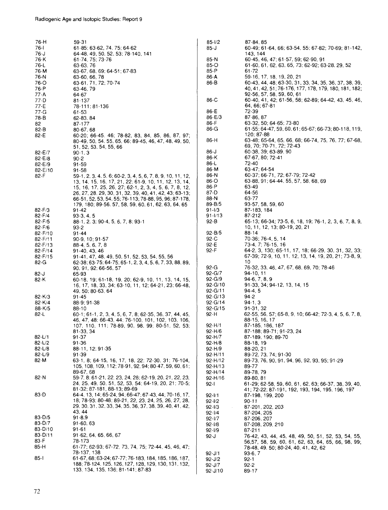| 76-H                   | 59-31                                                                                                           |
|------------------------|-----------------------------------------------------------------------------------------------------------------|
| 76-l                   | 61-85; 63-62, 74. 75; 64-62                                                                                     |
| 76-J                   | 64-48, 49, 50, 52, 53; 78-140, 141                                                                              |
| 76-K<br>76-L           | 61-74, 75, 73-76<br>63-63, 76                                                                                   |
| 76-M                   | 63-67, 68, 69, 64-51, 67-83                                                                                     |
| 76-N                   | 63-60, 66, 78                                                                                                   |
| 76-O                   | 63-61, 71, 72, 70-74                                                                                            |
| 76-P                   | 63-46, 79                                                                                                       |
| 77-A                   | 64-67                                                                                                           |
| 77-D                   | 81-137                                                                                                          |
| 77-E<br>77-G           | 78-111, 81-136<br>61-53                                                                                         |
| 78-B                   | 62-83, 84                                                                                                       |
| 82                     | 87-177                                                                                                          |
| 82-B                   | 80-67, 68                                                                                                       |
| 82-E                   | 60-20; 66-45. 46; 78-82, 83, 84, 85, 86, 87, 97;                                                                |
|                        | 80-49, 50, 54, 55, 65, 66; 89-45, 46, 47, 48, 49, 50,                                                           |
|                        | 51, 52, 53, 54, 55, 66                                                                                          |
| 82-E/7<br>82-E/8       | 90-1, 3<br>90-2                                                                                                 |
| 82-E/9                 | 91-59                                                                                                           |
| 82-E/10                | 91-58                                                                                                           |
| 82-F                   | 59-1, 2, 3, 4, 5, 6; 60-2, 3, 4, 5, 6, 7, 8, 9, 10, 11, 12,                                                     |
|                        | 13, 14, 15, 16, 17, 21, 22; 61-9, 10, 11, 12, 13, 14,                                                           |
|                        | 15, 16, 17, 25, 26, 27; 62-1, 2, 3, 4, 5, 6, 7, 8, 12,                                                          |
|                        | 26, 27, 28, 29, 30, 31, 32, 39, 40, 41, 42, 43; 63-13;<br>66-51, 52, 53, 54, 55; 76-113; 78-88, 95, 96; 87-178, |
|                        | 179, 180; 89-56, 57, 58, 59, 60, 61, 62, 63, 64, 65                                                             |
| 82-F/3                 | 91-42                                                                                                           |
| $82 - F/4$             | $93-3, 4, 5$                                                                                                    |
| 82-F/5                 | 88-1, 2, 3, 90-4, 5, 6, 7, 8, 93-1                                                                              |
| $82-F/6$               | 93-2                                                                                                            |
| 82-F/10<br>$82 - F/11$ | 91-44<br>90-9, 10; 91-57                                                                                        |
| 82-F/13                | 88-4, 5, 6, 7, 8                                                                                                |
| 82-F/14                | 91-40, 43, 46                                                                                                   |
| 82-F/15                | 91-41, 47, 48, 49, 50, 51, 52, 53, 54, 55, 56                                                                   |
| 82-G                   | 62-38; 63-75; 64-75; 65-1, 2, 3, 4, 5, 6, 7, 33, 88, 89,                                                        |
|                        | 90.91,92;66-56,57                                                                                               |
| 82-J<br>82-K           | 65-93<br>60-18, 19, 61-18, 19, 20, 62-9, 10, 11, 13, 14, 15,                                                    |
|                        | 16, 17, 18, 33, 34; 63-10, 11, 12; 64-21, 23; 66-48,                                                            |
|                        | 49, 50, 80-63, 64                                                                                               |
| $82 - K/3$             | 91-45                                                                                                           |
| 82-K/4                 | 88-9, 91-38                                                                                                     |
| 88-K/5                 | 88-10<br>60-1; 61-1, 2, 3, 4, 5, 6, 7, 8; 62-35, 36, 37, 44, 45,                                                |
| 82-L                   | 46, 47, 48; 66-43, 44; 76-100, 101, 102, 103, 106,                                                              |
|                        | 107, 110, 111; 78-89, 90, 98, 99; 80-51, 52, 53;                                                                |
|                        | 81-33, 34                                                                                                       |
| 82-L/1                 | 91-37                                                                                                           |
| 82-L/2                 | 91-36                                                                                                           |
| 82-L/8<br>$82 - U9$    | 88-11, 12: 91-35<br>91-39                                                                                       |
| 82-M                   | 63-1, 8; 64-15, 16, 17, 18, 22; 72-30, 31; 76-104,                                                              |
|                        | 105, 108, 109, 112, 78-91, 92, 94; 80-47, 59, 60, 61;                                                           |
|                        | 89-67, 68                                                                                                       |
| 82-N                   | 59-7, 8: 61-21, 22, 23, 24, 28; 62-19, 20, 21, 22, 23,                                                          |
|                        | 24, 25, 49, 50, 51, 52, 53, 54; 64-19, 20, 21; 70-5;<br>81-32; 87-181, 88-13; 89-69                             |
| 83-D                   | 64-4, 13, 14; 65-24, 94; 66-47; 67-43, 44; 70-16, 17,                                                           |
|                        | 18; 78-93; 80-48; 89-21, 22, 23, 24, 25, 26, 27, 28,                                                            |
|                        | 29, 30, 31, 32, 33, 34, 35, 36, 37, 38, 39, 40, 41, 42,                                                         |
|                        | 43, 44                                                                                                          |
| 83-D/5                 | $91 - 8,9$                                                                                                      |
| 83-D/7<br>83-D/10      | 91-60, 63                                                                                                       |
| 83-D/11                | 91-61<br>91-62, 64, 65, 66, 67                                                                                  |
| 83-F                   | 78 173                                                                                                          |
| 85-H                   | 61-77; 62-93; 67-72, 73, 74, 75; 72-44, 45, 46, 47;                                                             |
|                        | 78-137, 138                                                                                                     |
| 85-1                   | 61-67, 68; 63-24; 67-77; 76-183, 184, 185, 186, 187,                                                            |
|                        | 188; 78-124, 125, 126, 127, 128, 129, 130, 131, 132,<br>133, 134, 135, 136; 81-141; 87-83                       |
|                        |                                                                                                                 |

| 85-1/2                | 87-84, 85                                               |
|-----------------------|---------------------------------------------------------|
| 85-J                  | 60-49; 61-64, 66; 63-54, 55, 67-82; 70-69; 81-142,      |
|                       | 143, 144                                                |
|                       | 60-45, 46, 47; 61-57, 59; 62-90, 91                     |
| 85 N                  |                                                         |
| 85-O                  | 61-60, 61, 62, 63, 65, 73, 62-92, 63-28, 29, 52         |
| 85-P                  | 61-72                                                   |
| 86-A                  | 59-16, 17, 18, 19, 20, 21                               |
| 86-B                  | 60-43, 44, 48; 63-30, 31, 33, 34, 35, 36, 37, 38, 39,   |
|                       |                                                         |
|                       | 40, 41, 42, 51; 76-176, 177, 178, 179, 180, 181, 182,   |
|                       | 92-56, 57, 58, 59, 60, 61                               |
| 86-C                  | 60-40, 41, 42; 61-56, 58; 62-89; 64-42, 43, 45, 46,     |
|                       | 64, 66; 67-81                                           |
| 86-E                  | 72-39                                                   |
| 86-E/3                | 87-86, 87                                               |
|                       |                                                         |
| 86-F                  | 63-32, 50; 64-65; 73-80                                 |
| 86-G                  | 61-55; 64-47, 59, 60, 61; 65-67; 66-73; 80-118, 119,    |
|                       | 120; 87-88                                              |
| 86-H                  | 63-48; 65-64, 65, 66, 68; 66-74, 75, 76, 77; 67-68,     |
|                       | 69, 70, 70-71, 72, 72-43                                |
| 86-J                  | 60-38, 39; 63-89, 90                                    |
|                       |                                                         |
| 86-K                  | 67-67, 80; 72-41                                        |
| 86-L                  | 72-40                                                   |
| 86-M                  | 63-47; 64-54                                            |
| 86-N                  | 60-37; 66-71, 72; 67-79; 72-42                          |
|                       | 63-88, 91; 64-44, 55, 57, 58, 68, 69                    |
| 86-O                  |                                                         |
| 86-P                  | 63-49                                                   |
| 87-D                  | 64-56                                                   |
| 88-N                  | 63-77                                                   |
| 89-B/5                | 93-57, 58, 59, 60                                       |
| 91-1/3                | 87-183, 184                                             |
|                       |                                                         |
| $91 - 1/13$           | 87-212                                                  |
| 92-B                  | 65-13; 66-34; 73-5, 6, 18, 19; 76-1, 2, 3, 6, 7, 8, 9,  |
|                       | 10, 11, 12, 13; 80-19, 20, 21                           |
| $92 - B/5$            | 88-14                                                   |
| 92-C                  | 70-36; 76-4, 5, 14                                      |
| 92-E                  | 73-4, 7; 76-15, 16                                      |
|                       |                                                         |
| 92-F                  | 64-2, 3, 130; 65-11, 17, 18; 66-29, 30, 31, 32, 33;     |
|                       | 67-39; 72-9, 10, 11, 12, 13, 14, 19, 20, 21; 73-8, 9,   |
|                       | 10                                                      |
| 92-G                  | 76-32, 33, 46, 47, 67, 68, 69, 70; 78-46                |
| 92-G/7                | 94-10, 11                                               |
|                       |                                                         |
| $92 - G/9$            | 94-6, 7, 8, 9                                           |
| 92-G/10               | 91-33, 34; 94-12, 13, 14, 15                            |
| 92-G/11               | $94-4, 5$                                               |
| $92 - G/13$           | $94 - 2$                                                |
| $92 - G/14$           | $94-1, 3$                                               |
|                       |                                                         |
| 92-G/15               | 91-31, 32                                               |
| 92-H                  | 62-55, 56, 57; 65-8, 9, 10; 66-42; 72-3, 4, 5, 6, 7, 8, |
|                       | 88-15, 16, 17                                           |
| $92 - H/1$            | 87-185, 186, 187                                        |
| $92 - H/6$            | 87-188; 89-71; 91-23, 24                                |
| 92-H/7                | 87-189, 190; 89-70                                      |
|                       |                                                         |
| $92 - H/8$            | 88-18, 19                                               |
| 92-H/9                | 88-20, 21                                               |
| $92 - H/11$           | 89-72, 73, 74; 91-30                                    |
| 92-H/12               | 89-73, 76, 90, 91, 94, 96, 92, 93, 95; 91-29            |
| 92-H/13               | 89-77                                                   |
|                       |                                                         |
| 92-H/14               | 89-78, 79                                               |
| 92-H/16               | 89-80, 81                                               |
| 92-l                  | 61-29; 62-58, 59, 60, 61, 62, 63; 66-37, 38, 39, 40,    |
|                       | 41; 72-22; 87-191, 192, 193, 194, 195, 196, 197         |
| $92 - 1/1$            | 87-198, 199, 200                                        |
| $92 - 1/2$            | 90-11                                                   |
|                       |                                                         |
| $92 - 1/3$            | 87-201, 202, 203                                        |
| $92 - 1/4$            | 87-204, 205                                             |
| $92 - 1/7$            | 87-206, 207                                             |
| $92 - 1/8$            | 87-208, 209, 210                                        |
| $92 - 1/9$            | 87-211                                                  |
|                       |                                                         |
| $92 - J$              | 76-42, 43, 44, 45, 48, 49, 50, 51, 52, 53, 54, 55,      |
|                       | 56,57, 58, 59, 60, 61, 62, 63, 64, 65, 66, 98, 99;      |
|                       | 78-48, 49, 50; 80-24, 40, 41, 42, 62                    |
| 92-J/1                |                                                         |
|                       | 93-6, 7                                                 |
|                       |                                                         |
| 92-J/2                | 92-1                                                    |
| 92-J/7<br>$92 - J/10$ | 92-2<br>89-17                                           |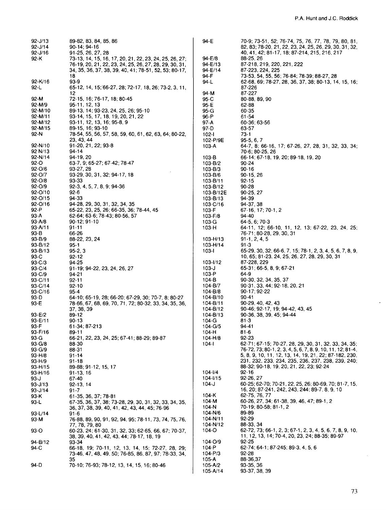| $92 - J/13$         | 89-82, 83, 84, 85, 86                                                         |
|---------------------|-------------------------------------------------------------------------------|
| $92 - J/14$         | 90-14; 94-16                                                                  |
| $92 - J/16$<br>92-K | 91-25, 26, 27, 28<br>73-13, 14, 15, 16, 17, 20, 21, 22, 23, 24, 25, 26, 27;   |
|                     | 76-19, 20, 21, 22, 23, 24, 25, 26, 27, 28, 29, 30, 31,                        |
|                     | 34, 35, 36, 37, 38, 39, 40, 41; 78-51, 52, 53; 80-17,                         |
|                     | 18                                                                            |
| 92-K/16             | 93-9                                                                          |
| 92-L                | 65-12, 14, 15; 66-27, 28; 72-17, 18, 26; 73-2, 3, 11,<br>12                   |
| 92-M                | 72-15, 16; 76-17, 18; 80-45                                                   |
| 92-M/9              | 95-11, 12, 13                                                                 |
| 92-M/10             | 89-13, 14; 93-23, 24, 25, 26; 95-10                                           |
| 92-M/11<br>92-M/12  | 93-14, 15, 17, 18, 19, 20, 21, 22<br>93-11, 12, 13, 16; 95-8, 9               |
| $92-M/15$           | 89-15, 16; 93-10                                                              |
| 92 N                | 78-54, 55, 56, 57, 58, 59, 60, 61, 62, 63, 64, 80-22,                         |
|                     | 23, 43, 44                                                                    |
| 92-N/10             | 91-20, 21, 22; 93-8                                                           |
| 92 N/13<br>92-N/14  | 94-14<br>94-19, 20                                                            |
| 92-O                | 63-7, 9, 65-27; 67-42; 78-47                                                  |
| $92 - O/6$          | 93-27, 28                                                                     |
| 92-0/7              | 93-29, 30, 31, 32; 94-17, 18                                                  |
| 92-O/8<br>92-O/9    | 93-33<br>92-3, 4, 5, 7, 8, 9; 94-36                                           |
| 92-O/10             | $92-6$                                                                        |
| 92-O/15             | 94-33                                                                         |
| $92 - 0/16$         | 94-28, 29, 30, 31, 32, 34, 35                                                 |
| 92-P                | 65-22, 23, 25, 26; 66-35, 36; 78-44, 45                                       |
| 93-A<br>$93 - A/8$  | 62-64, 63-6; 78-43; 80-56, 57<br>90-12; 91-10                                 |
| 93-A/11             | 91-11                                                                         |
| 93-B                | 66-26                                                                         |
| 93-B/9              | 88-22, 23, 24                                                                 |
| 93-B/12<br>93-B/13  | 95-1<br>$95-2, 3$                                                             |
| 93-C                | 92-12                                                                         |
| 93-C/3              | 94-25                                                                         |
| 93-C/4              | 91-19; 94-22, 23, 24, 26, 27                                                  |
| 93-C/9<br>93-C/11   | 94-21<br>92-11                                                                |
| 93-C/14             | 92-10                                                                         |
| 93-C/16             | 95-4                                                                          |
| 93-D                | 64-10; 65-19, 28; 66-20; 67-29, 30; 70-7, 8; 80-27                            |
| 93-E                | 78-66, 67, 68, 69, 70, 71, 72; 80-32, 33, 34, 35, 36,                         |
| 93-E/2              | 37, 38, 39<br>89-12                                                           |
| 93-E/11             | 90-13                                                                         |
| 93-F                | 61-34: 87-213                                                                 |
| 93-F/16             | 89-11                                                                         |
| 93-G<br>93-G/8      | 66-21, 22, 23, 24, 25; 67-41; 88-29; 89-87<br>88-30                           |
| 93-G/9              | 88-31                                                                         |
| 93-H/8              | 91-14                                                                         |
| 93-H/9              | 91-18                                                                         |
| 93-H/15<br>93-H/16  | 89-88: 91-12, 15, 17<br>91-13, 16                                             |
| 93-J                | 67-40                                                                         |
| 93-J/13             | 92-13, 14                                                                     |
| 93-J/14             | 91-7                                                                          |
| 93-K<br>93-L        | 61-35, 36, 37; 78-81<br>67-35, 36, 37, 38; 73-28, 29, 30, 31, 32, 33, 34, 35, |
|                     | 36, 37, 38, 39, 40, 41, 42, 43, 44, 45; 76-96                                 |
| 93-L/14             | 91-6                                                                          |
| 93-M                | 76-88, 89, 90, 91, 92, 94, 95; 78-11, 73, 74, 75, 76,                         |
| 93-O                | 77, 78, 79, 80<br>60-23, 24; 61-30, 31, 32, 33; 62-65, 66, 67; 70-37,         |
|                     | 38, 39, 40, 41, 42, 43, 44; 78-17, 18, 19                                     |
| 94-B/12             | 93-34                                                                         |
| 94-C                | 66-18, 19; 70-11, 12, 13, 14, 15; 72-27, 28, 29;                              |
|                     | 73-46, 47, 48, 49, 50; 76-85, 86, 87, 97, 78-33, 34,<br>35                    |
| 94-D                | 70-10; 76-93; 78-12, 13, 14, 15, 16; 80-46                                    |
|                     |                                                                               |

| 94 E                 | 70-9; 73-51, 52; 76-74, 75, 76, 77, 78, 79, 80, 81,<br>82, 83; 78-20, 21, 22, 23, 24, 25, 26, 29, 30, 31, 32,      |
|----------------------|--------------------------------------------------------------------------------------------------------------------|
| 94-E/8               | 40, 41, 42; 81-17, 18; 87-214, 215, 216, 217<br>88-25, 26                                                          |
| 94-E/13<br>94-E/14   | 87-218, 219, 220, 221, 222<br>87-223, 224, 225                                                                     |
| 94-F                 | 73-53, 54, 55, 56; 76-84; 78-39; 88-27, 28                                                                         |
| 94-L                 | 62-68, 69; 78-27, 28, 36, 37, 38; 80-13, 14, 15, 16;<br>87-226                                                     |
| 94-M<br>95-C         | 87-227<br>80-88, 89, 90                                                                                            |
| 95-E                 | 62-88                                                                                                              |
| 95-G                 | 60-35                                                                                                              |
| 96-P                 | 61-54                                                                                                              |
| 97-A<br>97-D         | 60-36; 63-56<br>63-57                                                                                              |
| 102-l                | $73-1$                                                                                                             |
| 102-P/9E             | 95-5, 6, 7                                                                                                         |
| 103-A                | 64-7, 8, 66-16, 17; 67-26, 27, 28, 31, 32, 33, 34;<br>70-6; 80-25, 26                                              |
| 103 B                | 66-14; 67-18, 19, 20; 89-18, 19, 20                                                                                |
| 103-B/2              | 90-24                                                                                                              |
| 103-B/3              | 90-16                                                                                                              |
| 103-B/6<br>103-B/11  | 90-15, 26<br>92-15                                                                                                 |
| 103-B/12             | 90-28                                                                                                              |
| 103-B/12E            | 90-25, 27                                                                                                          |
| 103-B/13<br>103-C/16 | 94-39<br>94-37, 38                                                                                                 |
| 103-F                | 67-16, 17; 70-1, 2                                                                                                 |
| 103-F/8              | 94-40                                                                                                              |
| 103-G                | 64-5, 6, 70-3                                                                                                      |
| 103-H                | 64-11, 12; 66-10, 11, 12, 13; 67-22, 23, 24, 25;<br>76-71; 80-28, 29, 30, 31                                       |
| 103-H/13             | 91-1, 2, 4, 5                                                                                                      |
| 103-H/14             | 91-3                                                                                                               |
| 103-1                | 65-29, 30, 32; 66-6, 7, 15; 78-1, 2, 3, 4, 5, 6, 7, 8, 9,<br>10, 65; 81-23, 24, 25, 26, 27, 28, 29, 30, 31         |
| 103-1/12             | 87-228, 229                                                                                                        |
| 103-J                | 65-31; 66-5, 8, 9; 67-21                                                                                           |
| 103-P<br>104-B       | 64-9<br>90-30, 32, 34, 35, 37                                                                                      |
| 104-B/7              | 90-31, 33, 44; 92-18, 20, 21                                                                                       |
| 104-B/8              | 90-17; 92-22                                                                                                       |
| 104-B/10<br>104-B/11 | 90-41<br>90-29, 40, 42, 43                                                                                         |
| 104-B/12             | 90-46; 92-17, 19; 94-42, 43, 45                                                                                    |
| $104 - B/13$         | 90-36, 38, 39, 45; 94-44                                                                                           |
| 104-G<br>104-G/5     | 81-3<br>94-41                                                                                                      |
| 104 H                | 81-6                                                                                                               |
| 104-H/8              | 92-23                                                                                                              |
| $104 -$              | 62-71; 67-15; 70-27, 28, 29, 30, 31, 32, 33, 34, 35;<br>76-72, 73; 80-1, 2, 3, 4, 5, 6, 7, 8, 9, 10, 11, 12; 81-4, |
|                      | 5, 8, 9, 10, 11, 12, 13, 14, 19, 21, 22; 87-182, 230,                                                              |
|                      | 231, 232, 233, 234, 235, 236, 237, 238, 239, 240;                                                                  |
| 104-1/4              | 88-32; 90-18, 19, 20, 21, 22, 23; 92-24<br>92-16                                                                   |
| 104-1/15             | 92-26, 27                                                                                                          |
| 104-J                | 60-25; 62-70; 70-21, 22, 25, 26; 80-69, 70; 81-7, 15,                                                              |
| 104-K                | 16, 20, 87-241, 242, 243, 244; 89-7, 8, 9, 10<br>62-75, 76, 77                                                     |
| 104-M                | 60 26, 27, 34; 61 38, 39, 46, 47; 89 1, 2                                                                          |
| 104-N                | 70-19: 80-58: 81-1. 2                                                                                              |
| 104-N/6              | 89-89<br>92-29                                                                                                     |
| 104-N/11<br>104-N/12 | 88-33 34                                                                                                           |
| 104-O                | 62 72 73; 66 1, 2, 3; 67 1, 2, 3, 4, 5, 6, 7, 8, 9, 10,<br>11, 12, 13, 14; 70-4, 20, 23, 24; 88-35; 89-97          |
| 104-O/9              | 92-25                                                                                                              |
| 104-P<br>104-P/3     | 62-74; 64-1; 87-245; 89-3, 4, 5, 6<br>92-28                                                                        |
| 105-A                | 88-36,37                                                                                                           |
| 105-A/2              | 93-35, 36                                                                                                          |
| 105-A/14             | 93-37, 38, 39                                                                                                      |

 $\hat{\mathbf{r}}$